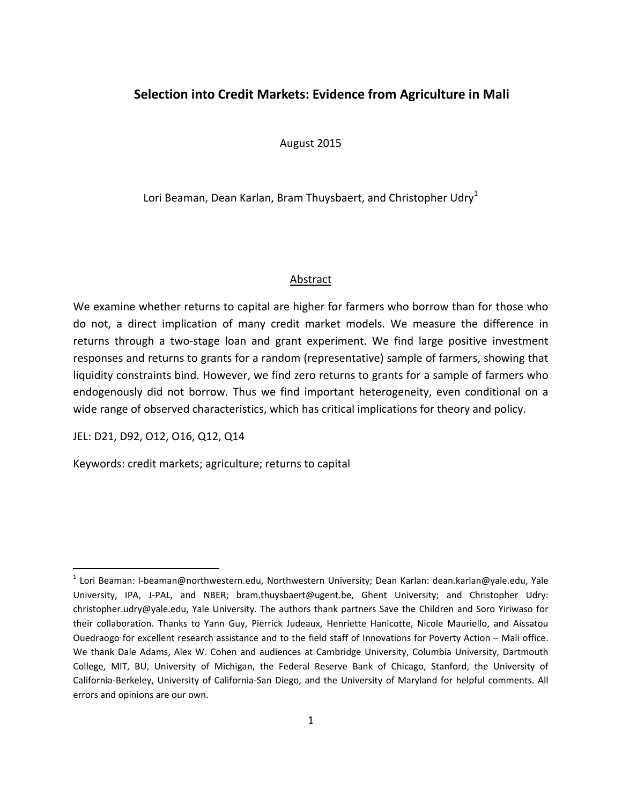# **Selection into Credit Markets: Evidence from Agriculture in Mali**

August 2015

Lori Beaman, Dean Karlan, Bram Thuysbaert, and Christopher Udry<sup>1</sup>

## **Abstract**

We examine whether returns to capital are higher for farmers who borrow than for those who do not, a direct implication of many credit market models. We measure the difference in returns through a two-stage loan and grant experiment. We find large positive investment responses and returns to grants for a random (representative) sample of farmers, showing that liquidity constraints bind. However, we find zero returns to grants for a sample of farmers who endogenously did not borrow. Thus we find important heterogeneity, even conditional on a wide range of observed characteristics, which has critical implications for theory and policy.

JEL: D21, D92, O12, O16, Q12, Q14

Keywords: credit markets; agriculture; returns to capital

<sup>&</sup>lt;sup>1</sup> Lori Beaman: I-beaman@northwestern.edu, Northwestern University; Dean Karlan: dean.karlan@yale.edu, Yale University, IPA, J‐PAL, and NBER; bram.thuysbaert@ugent.be, Ghent University; and Christopher Udry: christopher.udry@yale.edu, Yale University. The authors thank partners Save the Children and Soro Yiriwaso for their collaboration. Thanks to Yann Guy, Pierrick Judeaux, Henriette Hanicotte, Nicole Mauriello, and Aissatou Ouedraogo for excellent research assistance and to the field staff of Innovations for Poverty Action – Mali office. We thank Dale Adams, Alex W. Cohen and audiences at Cambridge University, Columbia University, Dartmouth College, MIT, BU, University of Michigan, the Federal Reserve Bank of Chicago, Stanford, the University of California‐Berkeley, University of California‐San Diego, and the University of Maryland for helpful comments. All errors and opinions are our own.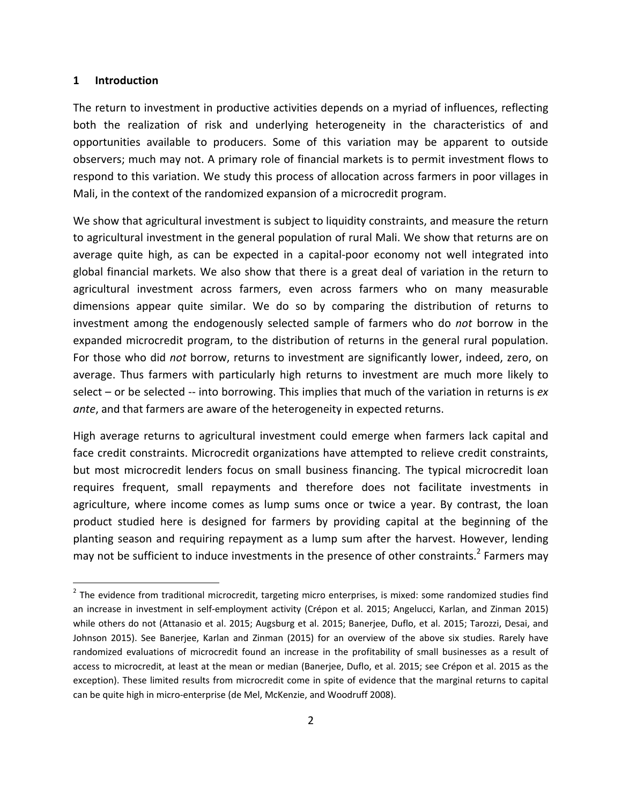### **1 Introduction**

The return to investment in productive activities depends on a myriad of influences, reflecting both the realization of risk and underlying heterogeneity in the characteristics of and opportunities available to producers. Some of this variation may be apparent to outside observers; much may not. A primary role of financial markets is to permit investment flows to respond to this variation. We study this process of allocation across farmers in poor villages in Mali, in the context of the randomized expansion of a microcredit program.

We show that agricultural investment is subject to liquidity constraints, and measure the return to agricultural investment in the general population of rural Mali. We show that returns are on average quite high, as can be expected in a capital‐poor economy not well integrated into global financial markets. We also show that there is a great deal of variation in the return to agricultural investment across farmers, even across farmers who on many measurable dimensions appear quite similar. We do so by comparing the distribution of returns to investment among the endogenously selected sample of farmers who do *not* borrow in the expanded microcredit program, to the distribution of returns in the general rural population. For those who did *not* borrow, returns to investment are significantly lower, indeed, zero, on average. Thus farmers with particularly high returns to investment are much more likely to select – or be selected ‐‐ into borrowing. This implies that much of the variation in returns is *ex ante*, and that farmers are aware of the heterogeneity in expected returns.

High average returns to agricultural investment could emerge when farmers lack capital and face credit constraints. Microcredit organizations have attempted to relieve credit constraints, but most microcredit lenders focus on small business financing. The typical microcredit loan requires frequent, small repayments and therefore does not facilitate investments in agriculture, where income comes as lump sums once or twice a year. By contrast, the loan product studied here is designed for farmers by providing capital at the beginning of the planting season and requiring repayment as a lump sum after the harvest. However, lending may not be sufficient to induce investments in the presence of other constraints.<sup>2</sup> Farmers may

 $2$  The evidence from traditional microcredit, targeting micro enterprises, is mixed: some randomized studies find an increase in investment in self-employment activity (Crépon et al. 2015; Angelucci, Karlan, and Zinman 2015) while others do not (Attanasio et al. 2015; Augsburg et al. 2015; Banerjee, Duflo, et al. 2015; Tarozzi, Desai, and Johnson 2015). See Banerjee, Karlan and Zinman (2015) for an overview of the above six studies. Rarely have randomized evaluations of microcredit found an increase in the profitability of small businesses as a result of access to microcredit, at least at the mean or median (Banerjee, Duflo, et al. 2015; see Crépon et al. 2015 as the exception). These limited results from microcredit come in spite of evidence that the marginal returns to capital can be quite high in micro‐enterprise (de Mel, McKenzie, and Woodruff 2008).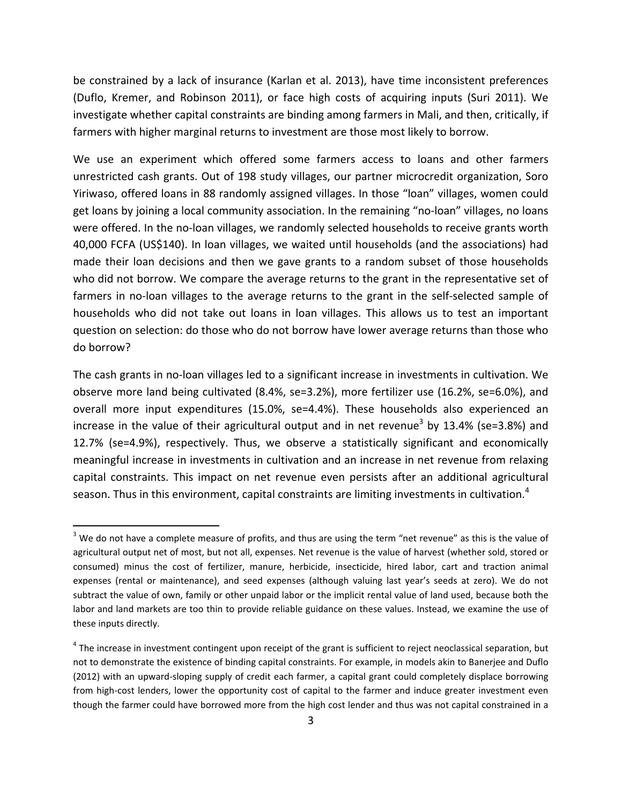be constrained by a lack of insurance (Karlan et al. 2013), have time inconsistent preferences (Duflo, Kremer, and Robinson 2011), or face high costs of acquiring inputs (Suri 2011). We investigate whether capital constraints are binding among farmers in Mali, and then, critically, if farmers with higher marginal returns to investment are those most likely to borrow.

We use an experiment which offered some farmers access to loans and other farmers unrestricted cash grants. Out of 198 study villages, our partner microcredit organization, Soro Yiriwaso, offered loans in 88 randomly assigned villages. In those "loan" villages, women could get loans by joining a local community association. In the remaining "no‐loan" villages, no loans were offered. In the no-loan villages, we randomly selected households to receive grants worth 40,000 FCFA (US\$140). In loan villages, we waited until households (and the associations) had made their loan decisions and then we gave grants to a random subset of those households who did not borrow. We compare the average returns to the grant in the representative set of farmers in no-loan villages to the average returns to the grant in the self-selected sample of households who did not take out loans in loan villages. This allows us to test an important question on selection: do those who do not borrow have lower average returns than those who do borrow?

The cash grants in no‐loan villages led to a significant increase in investments in cultivation. We observe more land being cultivated (8.4%, se=3.2%), more fertilizer use (16.2%, se=6.0%), and overall more input expenditures (15.0%, se=4.4%). These households also experienced an increase in the value of their agricultural output and in net revenue<sup>3</sup> by 13.4% (se=3.8%) and 12.7% (se=4.9%), respectively. Thus, we observe a statistically significant and economically meaningful increase in investments in cultivation and an increase in net revenue from relaxing capital constraints. This impact on net revenue even persists after an additional agricultural season. Thus in this environment, capital constraints are limiting investments in cultivation.<sup>4</sup>

 $3$  We do not have a complete measure of profits, and thus are using the term "net revenue" as this is the value of agricultural output net of most, but not all, expenses. Net revenue is the value of harvest (whether sold, stored or consumed) minus the cost of fertilizer, manure, herbicide, insecticide, hired labor, cart and traction animal expenses (rental or maintenance), and seed expenses (although valuing last year's seeds at zero). We do not subtract the value of own, family or other unpaid labor or the implicit rental value of land used, because both the labor and land markets are too thin to provide reliable guidance on these values. Instead, we examine the use of these inputs directly.

 $4$  The increase in investment contingent upon receipt of the grant is sufficient to reject neoclassical separation, but not to demonstrate the existence of binding capital constraints. For example, in models akin to Banerjee and Duflo (2012) with an upward‐sloping supply of credit each farmer, a capital grant could completely displace borrowing from high-cost lenders, lower the opportunity cost of capital to the farmer and induce greater investment even though the farmer could have borrowed more from the high cost lender and thus was not capital constrained in a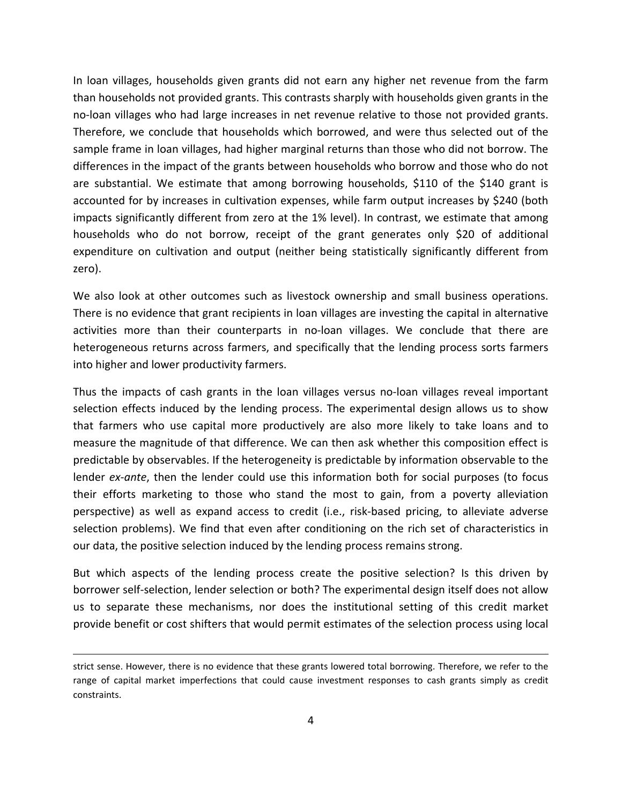In loan villages, households given grants did not earn any higher net revenue from the farm than households not provided grants. This contrasts sharply with households given grants in the no‐loan villages who had large increases in net revenue relative to those not provided grants. Therefore, we conclude that households which borrowed, and were thus selected out of the sample frame in loan villages, had higher marginal returns than those who did not borrow. The differences in the impact of the grants between households who borrow and those who do not are substantial. We estimate that among borrowing households, \$110 of the \$140 grant is accounted for by increases in cultivation expenses, while farm output increases by \$240 (both impacts significantly different from zero at the 1% level). In contrast, we estimate that among households who do not borrow, receipt of the grant generates only \$20 of additional expenditure on cultivation and output (neither being statistically significantly different from zero).

We also look at other outcomes such as livestock ownership and small business operations. There is no evidence that grant recipients in loan villages are investing the capital in alternative activities more than their counterparts in no-loan villages. We conclude that there are heterogeneous returns across farmers, and specifically that the lending process sorts farmers into higher and lower productivity farmers.

Thus the impacts of cash grants in the loan villages versus no‐loan villages reveal important selection effects induced by the lending process. The experimental design allows us to show that farmers who use capital more productively are also more likely to take loans and to measure the magnitude of that difference. We can then ask whether this composition effect is predictable by observables. If the heterogeneity is predictable by information observable to the lender *ex‐ante*, then the lender could use this information both for social purposes (to focus their efforts marketing to those who stand the most to gain, from a poverty alleviation perspective) as well as expand access to credit (i.e., risk‐based pricing, to alleviate adverse selection problems). We find that even after conditioning on the rich set of characteristics in our data, the positive selection induced by the lending process remains strong.

But which aspects of the lending process create the positive selection? Is this driven by borrower self‐selection, lender selection or both? The experimental design itself does not allow us to separate these mechanisms, nor does the institutional setting of this credit market provide benefit or cost shifters that would permit estimates of the selection process using local

<u> Andreas Andreas Andreas Andreas Andreas Andreas Andreas Andreas Andreas Andreas Andreas Andreas Andreas Andr</u>

strict sense. However, there is no evidence that these grants lowered total borrowing. Therefore, we refer to the range of capital market imperfections that could cause investment responses to cash grants simply as credit constraints.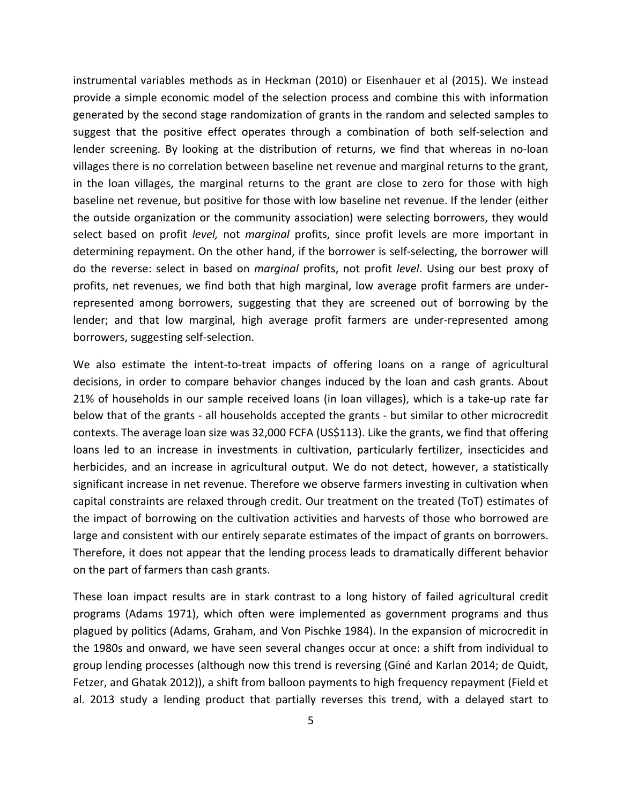instrumental variables methods as in Heckman (2010) or Eisenhauer et al (2015). We instead provide a simple economic model of the selection process and combine this with information generated by the second stage randomization of grants in the random and selected samples to suggest that the positive effect operates through a combination of both self-selection and lender screening. By looking at the distribution of returns, we find that whereas in no‐loan villages there is no correlation between baseline net revenue and marginal returns to the grant, in the loan villages, the marginal returns to the grant are close to zero for those with high baseline net revenue, but positive for those with low baseline net revenue. If the lender (either the outside organization or the community association) were selecting borrowers, they would select based on profit *level,* not *marginal* profits, since profit levels are more important in determining repayment. On the other hand, if the borrower is self‐selecting, the borrower will do the reverse: select in based on *marginal* profits, not profit *level*. Using our best proxy of profits, net revenues, we find both that high marginal, low average profit farmers are under‐ represented among borrowers, suggesting that they are screened out of borrowing by the lender; and that low marginal, high average profit farmers are under‐represented among borrowers, suggesting self‐selection.

We also estimate the intent-to-treat impacts of offering loans on a range of agricultural decisions, in order to compare behavior changes induced by the loan and cash grants. About 21% of households in our sample received loans (in loan villages), which is a take‐up rate far below that of the grants ‐ all households accepted the grants ‐ but similar to other microcredit contexts. The average loan size was 32,000 FCFA (US\$113). Like the grants, we find that offering loans led to an increase in investments in cultivation, particularly fertilizer, insecticides and herbicides, and an increase in agricultural output. We do not detect, however, a statistically significant increase in net revenue. Therefore we observe farmers investing in cultivation when capital constraints are relaxed through credit. Our treatment on the treated (ToT) estimates of the impact of borrowing on the cultivation activities and harvests of those who borrowed are large and consistent with our entirely separate estimates of the impact of grants on borrowers. Therefore, it does not appear that the lending process leads to dramatically different behavior on the part of farmers than cash grants.

These loan impact results are in stark contrast to a long history of failed agricultural credit programs (Adams 1971), which often were implemented as government programs and thus plagued by politics (Adams, Graham, and Von Pischke 1984). In the expansion of microcredit in the 1980s and onward, we have seen several changes occur at once: a shift from individual to group lending processes (although now this trend is reversing (Giné and Karlan 2014; de Quidt, Fetzer, and Ghatak 2012)), a shift from balloon payments to high frequency repayment (Field et al. 2013 study a lending product that partially reverses this trend, with a delayed start to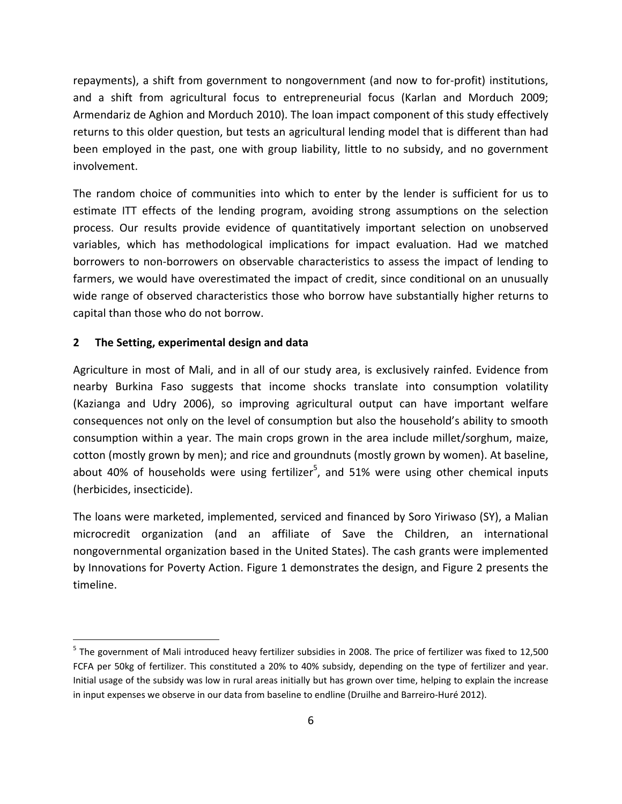repayments), a shift from government to nongovernment (and now to for‐profit) institutions, and a shift from agricultural focus to entrepreneurial focus (Karlan and Morduch 2009; Armendariz de Aghion and Morduch 2010). The loan impact component of this study effectively returns to this older question, but tests an agricultural lending model that is different than had been employed in the past, one with group liability, little to no subsidy, and no government involvement.

The random choice of communities into which to enter by the lender is sufficient for us to estimate ITT effects of the lending program, avoiding strong assumptions on the selection process. Our results provide evidence of quantitatively important selection on unobserved variables, which has methodological implications for impact evaluation. Had we matched borrowers to non‐borrowers on observable characteristics to assess the impact of lending to farmers, we would have overestimated the impact of credit, since conditional on an unusually wide range of observed characteristics those who borrow have substantially higher returns to capital than those who do not borrow.

# **2 The Setting, experimental design and data**

Agriculture in most of Mali, and in all of our study area, is exclusively rainfed. Evidence from nearby Burkina Faso suggests that income shocks translate into consumption volatility (Kazianga and Udry 2006), so improving agricultural output can have important welfare consequences not only on the level of consumption but also the household's ability to smooth consumption within a year. The main crops grown in the area include millet/sorghum, maize, cotton (mostly grown by men); and rice and groundnuts (mostly grown by women). At baseline, about 40% of households were using fertilizer<sup>5</sup>, and 51% were using other chemical inputs (herbicides, insecticide).

The loans were marketed, implemented, serviced and financed by Soro Yiriwaso (SY), a Malian microcredit organization (and an affiliate of Save the Children, an international nongovernmental organization based in the United States). The cash grants were implemented by Innovations for Poverty Action. Figure 1 demonstrates the design, and Figure 2 presents the timeline.

 $<sup>5</sup>$  The government of Mali introduced heavy fertilizer subsidies in 2008. The price of fertilizer was fixed to 12,500</sup> FCFA per 50kg of fertilizer. This constituted a 20% to 40% subsidy, depending on the type of fertilizer and year. Initial usage of the subsidy was low in rural areas initially but has grown over time, helping to explain the increase in input expenses we observe in our data from baseline to endline (Druilhe and Barreiro‐Huré 2012).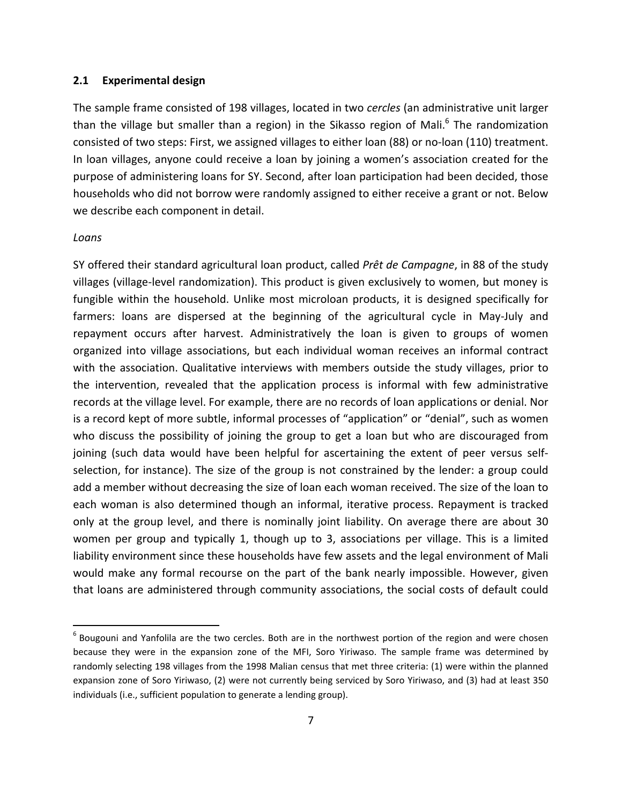## **2.1 Experimental design**

The sample frame consisted of 198 villages, located in two *cercles* (an administrative unit larger than the village but smaller than a region) in the Sikasso region of Mali.<sup>6</sup> The randomization consisted of two steps: First, we assigned villages to either loan (88) or no‐loan (110) treatment. In loan villages, anyone could receive a loan by joining a women's association created for the purpose of administering loans for SY. Second, after loan participation had been decided, those households who did not borrow were randomly assigned to either receive a grant or not. Below we describe each component in detail.

#### *Loans*

SY offered their standard agricultural loan product, called *Prêt de Campagne*, in 88 of the study villages (village‐level randomization). This product is given exclusively to women, but money is fungible within the household. Unlike most microloan products, it is designed specifically for farmers: loans are dispersed at the beginning of the agricultural cycle in May‐July and repayment occurs after harvest. Administratively the loan is given to groups of women organized into village associations, but each individual woman receives an informal contract with the association. Qualitative interviews with members outside the study villages, prior to the intervention, revealed that the application process is informal with few administrative records at the village level. For example, there are no records of loan applications or denial. Nor is a record kept of more subtle, informal processes of "application" or "denial", such as women who discuss the possibility of joining the group to get a loan but who are discouraged from joining (such data would have been helpful for ascertaining the extent of peer versus selfselection, for instance). The size of the group is not constrained by the lender: a group could add a member without decreasing the size of loan each woman received. The size of the loan to each woman is also determined though an informal, iterative process. Repayment is tracked only at the group level, and there is nominally joint liability. On average there are about 30 women per group and typically 1, though up to 3, associations per village. This is a limited liability environment since these households have few assets and the legal environment of Mali would make any formal recourse on the part of the bank nearly impossible. However, given that loans are administered through community associations, the social costs of default could

 $6$  Bougouni and Yanfolila are the two cercles. Both are in the northwest portion of the region and were chosen because they were in the expansion zone of the MFI, Soro Yiriwaso. The sample frame was determined by randomly selecting 198 villages from the 1998 Malian census that met three criteria: (1) were within the planned expansion zone of Soro Yiriwaso, (2) were not currently being serviced by Soro Yiriwaso, and (3) had at least 350 individuals (i.e., sufficient population to generate a lending group).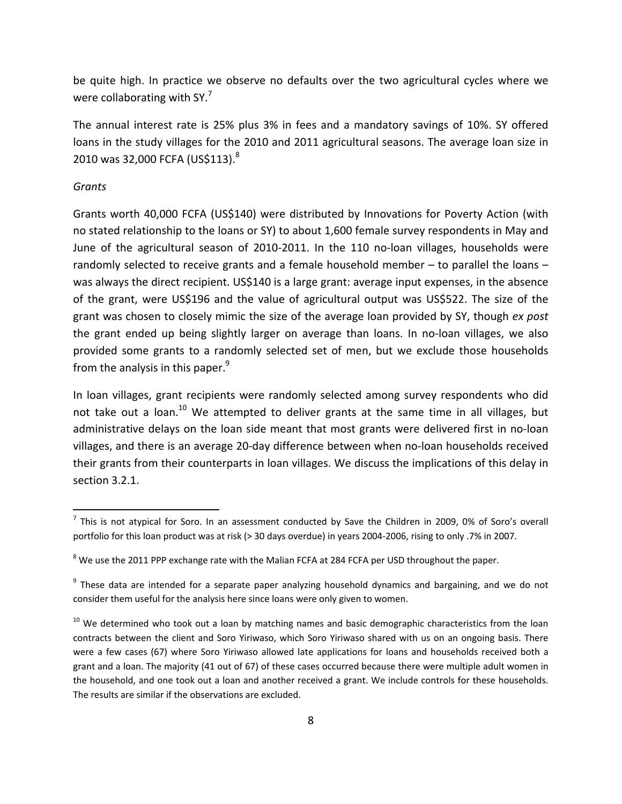be quite high. In practice we observe no defaults over the two agricultural cycles where we were collaborating with SY.<sup>7</sup>

The annual interest rate is 25% plus 3% in fees and a mandatory savings of 10%. SY offered loans in the study villages for the 2010 and 2011 agricultural seasons. The average loan size in 2010 was 32,000 FCFA (US\$113).8

## *Grants*

Grants worth 40,000 FCFA (US\$140) were distributed by Innovations for Poverty Action (with no stated relationship to the loans or SY) to about 1,600 female survey respondents in May and June of the agricultural season of 2010‐2011. In the 110 no‐loan villages, households were randomly selected to receive grants and a female household member – to parallel the loans – was always the direct recipient. US\$140 is a large grant: average input expenses, in the absence of the grant, were US\$196 and the value of agricultural output was US\$522. The size of the grant was chosen to closely mimic the size of the average loan provided by SY, though *ex post* the grant ended up being slightly larger on average than loans. In no‐loan villages, we also provided some grants to a randomly selected set of men, but we exclude those households from the analysis in this paper. $9$ 

In loan villages, grant recipients were randomly selected among survey respondents who did not take out a loan.<sup>10</sup> We attempted to deliver grants at the same time in all villages, but administrative delays on the loan side meant that most grants were delivered first in no‐loan villages, and there is an average 20‐day difference between when no‐loan households received their grants from their counterparts in loan villages. We discuss the implications of this delay in section 3.2.1.

 $<sup>7</sup>$  This is not atypical for Soro. In an assessment conducted by Save the Children in 2009, 0% of Soro's overall</sup> portfolio for this loan product was at risk (> 30 days overdue) in years 2004‐2006, rising to only .7% in 2007.

 $8$  We use the 2011 PPP exchange rate with the Malian FCFA at 284 FCFA per USD throughout the paper.

<sup>&</sup>lt;sup>9</sup> These data are intended for a separate paper analyzing household dynamics and bargaining, and we do not consider them useful for the analysis here since loans were only given to women.

 $10$  We determined who took out a loan by matching names and basic demographic characteristics from the loan contracts between the client and Soro Yiriwaso, which Soro Yiriwaso shared with us on an ongoing basis. There were a few cases (67) where Soro Yiriwaso allowed late applications for loans and households received both a grant and a loan. The majority (41 out of 67) of these cases occurred because there were multiple adult women in the household, and one took out a loan and another received a grant. We include controls for these households. The results are similar if the observations are excluded.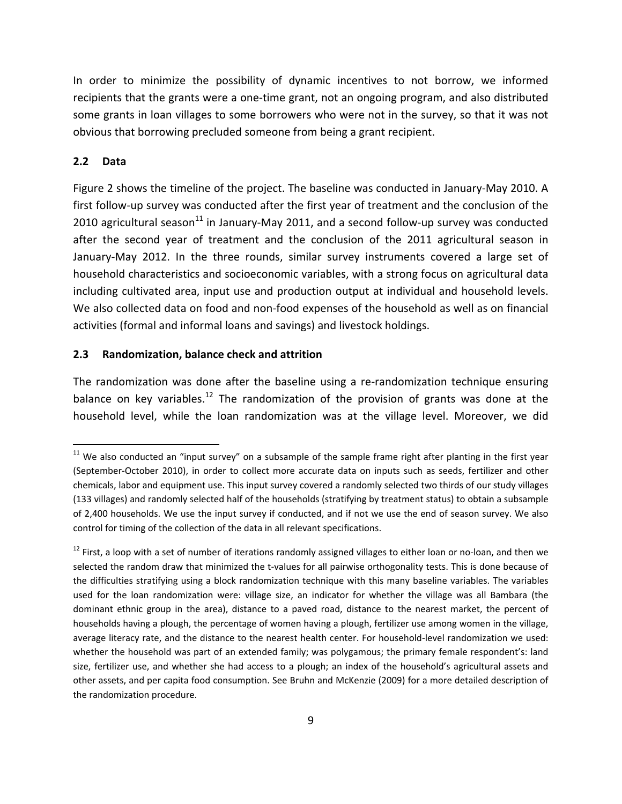In order to minimize the possibility of dynamic incentives to not borrow, we informed recipients that the grants were a one‐time grant, not an ongoing program, and also distributed some grants in loan villages to some borrowers who were not in the survey, so that it was not obvious that borrowing precluded someone from being a grant recipient.

## **2.2 Data**

Figure 2 shows the timeline of the project. The baseline was conducted in January‐May 2010. A first follow‐up survey was conducted after the first year of treatment and the conclusion of the 2010 agricultural season $^{11}$  in January-May 2011, and a second follow-up survey was conducted after the second year of treatment and the conclusion of the 2011 agricultural season in January‐May 2012. In the three rounds, similar survey instruments covered a large set of household characteristics and socioeconomic variables, with a strong focus on agricultural data including cultivated area, input use and production output at individual and household levels. We also collected data on food and non-food expenses of the household as well as on financial activities (formal and informal loans and savings) and livestock holdings.

# **2.3 Randomization, balance check and attrition**

The randomization was done after the baseline using a re-randomization technique ensuring balance on key variables.<sup>12</sup> The randomization of the provision of grants was done at the household level, while the loan randomization was at the village level. Moreover, we did

 $11$  We also conducted an "input survey" on a subsample of the sample frame right after planting in the first year (September‐October 2010), in order to collect more accurate data on inputs such as seeds, fertilizer and other chemicals, labor and equipment use. This input survey covered a randomly selected two thirds of our study villages (133 villages) and randomly selected half of the households (stratifying by treatment status) to obtain a subsample of 2,400 households. We use the input survey if conducted, and if not we use the end of season survey. We also control for timing of the collection of the data in all relevant specifications.

 $12$  First, a loop with a set of number of iterations randomly assigned villages to either loan or no-loan, and then we selected the random draw that minimized the t-values for all pairwise orthogonality tests. This is done because of the difficulties stratifying using a block randomization technique with this many baseline variables. The variables used for the loan randomization were: village size, an indicator for whether the village was all Bambara (the dominant ethnic group in the area), distance to a paved road, distance to the nearest market, the percent of households having a plough, the percentage of women having a plough, fertilizer use among women in the village, average literacy rate, and the distance to the nearest health center. For household-level randomization we used: whether the household was part of an extended family; was polygamous; the primary female respondent's: land size, fertilizer use, and whether she had access to a plough; an index of the household's agricultural assets and other assets, and per capita food consumption. See Bruhn and McKenzie (2009) for a more detailed description of the randomization procedure.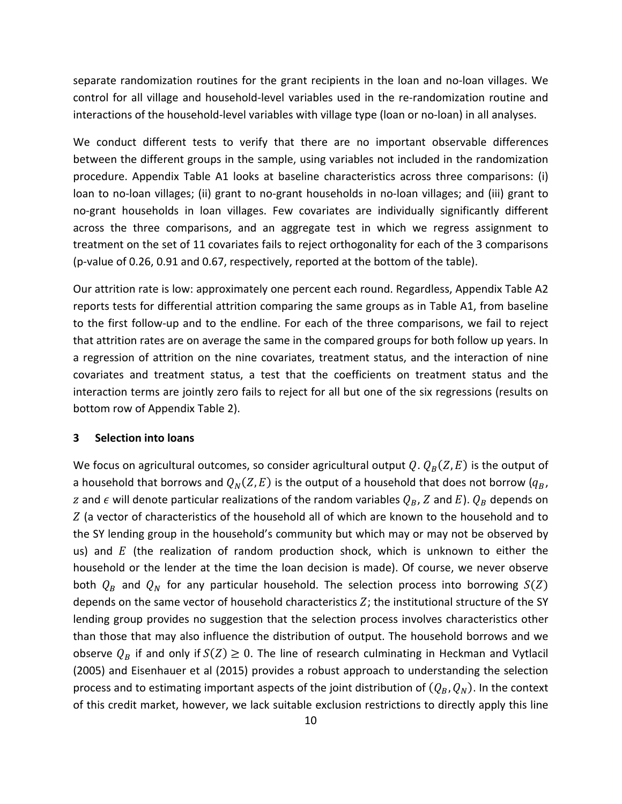separate randomization routines for the grant recipients in the loan and no-loan villages. We control for all village and household‐level variables used in the re‐randomization routine and interactions of the household‐level variables with village type (loan or no‐loan) in all analyses.

We conduct different tests to verify that there are no important observable differences between the different groups in the sample, using variables not included in the randomization procedure. Appendix Table A1 looks at baseline characteristics across three comparisons: (i) loan to no-loan villages; (ii) grant to no-grant households in no-loan villages; and (iii) grant to no‐grant households in loan villages. Few covariates are individually significantly different across the three comparisons, and an aggregate test in which we regress assignment to treatment on the set of 11 covariates fails to reject orthogonality for each of the 3 comparisons (p‐value of 0.26, 0.91 and 0.67, respectively, reported at the bottom of the table).

Our attrition rate is low: approximately one percent each round. Regardless, Appendix Table A2 reports tests for differential attrition comparing the same groups as in Table A1, from baseline to the first follow‐up and to the endline. For each of the three comparisons, we fail to reject that attrition rates are on average the same in the compared groups for both follow up years. In a regression of attrition on the nine covariates, treatment status, and the interaction of nine covariates and treatment status, a test that the coefficients on treatment status and the interaction terms are jointly zero fails to reject for all but one of the six regressions (results on bottom row of Appendix Table 2).

### **3 Selection into loans**

We focus on agricultural outcomes, so consider agricultural output  $Q$ .  $Q_B(Z, E)$  is the output of a household that borrows and  $Q_N(Z, E)$  is the output of a household that does not borrow ( $q_B$ , z and  $\epsilon$  will denote particular realizations of the random variables  $Q_B$ , Z and E).  $Q_B$  depends on Z (a vector of characteristics of the household all of which are known to the household and to the SY lending group in the household's community but which may or may not be observed by us) and  $E$  (the realization of random production shock, which is unknown to either the household or the lender at the time the loan decision is made). Of course, we never observe both  $Q_B$  and  $Q_N$  for any particular household. The selection process into borrowing  $S(Z)$ depends on the same vector of household characteristics  $Z$ ; the institutional structure of the SY lending group provides no suggestion that the selection process involves characteristics other than those that may also influence the distribution of output. The household borrows and we observe  $Q_R$  if and only if  $S(Z) \geq 0$ . The line of research culminating in Heckman and Vytlacil (2005) and Eisenhauer et al (2015) provides a robust approach to understanding the selection process and to estimating important aspects of the joint distribution of  $(Q_B, Q_N)$ . In the context of this credit market, however, we lack suitable exclusion restrictions to directly apply this line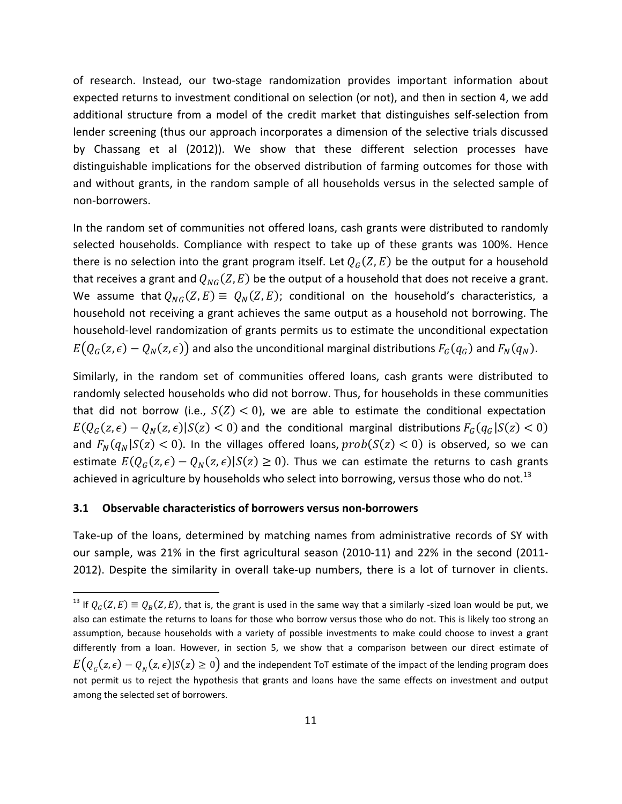of research. Instead, our two‐stage randomization provides important information about expected returns to investment conditional on selection (or not), and then in section 4, we add additional structure from a model of the credit market that distinguishes self‐selection from lender screening (thus our approach incorporates a dimension of the selective trials discussed by Chassang et al (2012)). We show that these different selection processes have distinguishable implications for the observed distribution of farming outcomes for those with and without grants, in the random sample of all households versus in the selected sample of non‐borrowers.

In the random set of communities not offered loans, cash grants were distributed to randomly selected households. Compliance with respect to take up of these grants was 100%. Hence there is no selection into the grant program itself. Let  $Q_G(Z, E)$  be the output for a household that receives a grant and  $Q_{NG}(Z, E)$  be the output of a household that does not receive a grant. We assume that  $Q_{NG}(Z, E) \equiv Q_N(Z, E)$ ; conditional on the household's characteristics, a household not receiving a grant achieves the same output as a household not borrowing. The household-level randomization of grants permits us to estimate the unconditional expectation  $E(Q_G(z, \epsilon) - Q_N(z, \epsilon))$  and also the unconditional marginal distributions  $F_G(q_G)$  and  $F_N(q_N)$ .

Similarly, in the random set of communities offered loans, cash grants were distributed to randomly selected households who did not borrow. Thus, for households in these communities that did not borrow (i.e.,  $S(Z) < 0$ ), we are able to estimate the conditional expectation  $E(Q_G(z,\epsilon) - Q_N(z,\epsilon) | S(z) < 0)$  and the conditional marginal distributions  $F_G(q_G|S(z) < 0)$ and  $F_N(q_N|S(z) < 0)$ . In the villages offered loans,  $prob(S(z) < 0)$  is observed, so we can estimate  $E(Q_G(z, \epsilon) - Q_N(z, \epsilon) | S(z) \ge 0)$ . Thus we can estimate the returns to cash grants achieved in agriculture by households who select into borrowing, versus those who do not.<sup>13</sup>

## **3.1 Observable characteristics of borrowers versus non‐borrowers**

Take-up of the loans, determined by matching names from administrative records of SY with our sample, was 21% in the first agricultural season (2010-11) and 22% in the second (2011-2012). Despite the similarity in overall take-up numbers, there is a lot of turnover in clients.

<sup>&</sup>lt;sup>13</sup> If  $Q_G(Z,E) \equiv Q_B(Z,E)$ , that is, the grant is used in the same way that a similarly -sized loan would be put, we also can estimate the returns to loans for those who borrow versus those who do not. This is likely too strong an assumption, because households with a variety of possible investments to make could choose to invest a grant differently from a loan. However, in section 5, we show that a comparison between our direct estimate of  $E(Q_{\alpha}(z,\epsilon)-Q_{\alpha}(z,\epsilon))S(z)\geq 0$  and the independent ToT estimate of the impact of the lending program does not permit us to reject the hypothesis that grants and loans have the same effects on investment and output among the selected set of borrowers.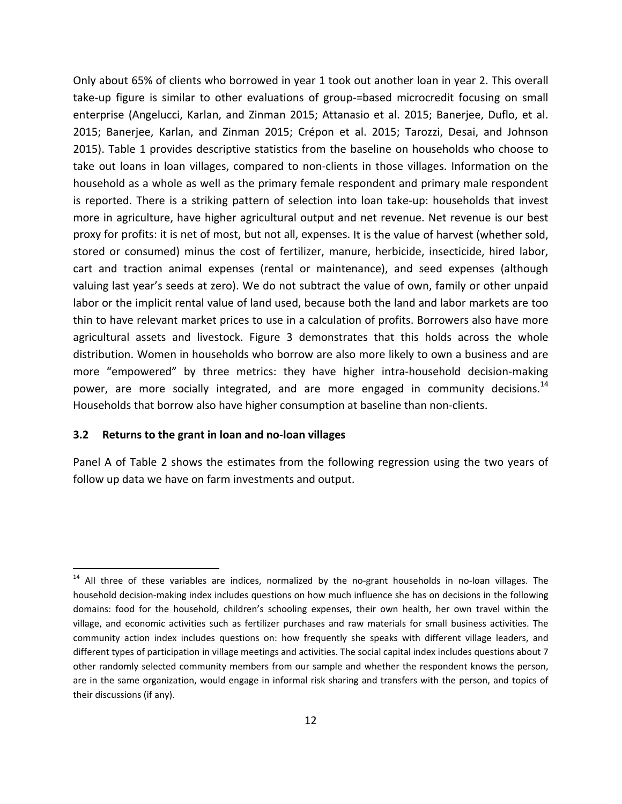Only about 65% of clients who borrowed in year 1 took out another loan in year 2. This overall take-up figure is similar to other evaluations of group-=based microcredit focusing on small enterprise (Angelucci, Karlan, and Zinman 2015; Attanasio et al. 2015; Banerjee, Duflo, et al. 2015; Banerjee, Karlan, and Zinman 2015; Crépon et al. 2015; Tarozzi, Desai, and Johnson 2015). Table 1 provides descriptive statistics from the baseline on households who choose to take out loans in loan villages, compared to non‐clients in those villages. Information on the household as a whole as well as the primary female respondent and primary male respondent is reported. There is a striking pattern of selection into loan take‐up: households that invest more in agriculture, have higher agricultural output and net revenue. Net revenue is our best proxy for profits: it is net of most, but not all, expenses. It is the value of harvest (whether sold, stored or consumed) minus the cost of fertilizer, manure, herbicide, insecticide, hired labor, cart and traction animal expenses (rental or maintenance), and seed expenses (although valuing last year's seeds at zero). We do not subtract the value of own, family or other unpaid labor or the implicit rental value of land used, because both the land and labor markets are too thin to have relevant market prices to use in a calculation of profits. Borrowers also have more agricultural assets and livestock. Figure 3 demonstrates that this holds across the whole distribution. Women in households who borrow are also more likely to own a business and are more "empowered" by three metrics: they have higher intra-household decision-making power, are more socially integrated, and are more engaged in community decisions.<sup>14</sup> Households that borrow also have higher consumption at baseline than non‐clients.

# **3.2 Returns to the grant in loan and no‐loan villages**

Panel A of Table 2 shows the estimates from the following regression using the two years of follow up data we have on farm investments and output.

 $14$  All three of these variables are indices, normalized by the no-grant households in no-loan villages. The household decision‐making index includes questions on how much influence she has on decisions in the following domains: food for the household, children's schooling expenses, their own health, her own travel within the village, and economic activities such as fertilizer purchases and raw materials for small business activities. The community action index includes questions on: how frequently she speaks with different village leaders, and different types of participation in village meetings and activities. The social capital index includes questions about 7 other randomly selected community members from our sample and whether the respondent knows the person, are in the same organization, would engage in informal risk sharing and transfers with the person, and topics of their discussions (if any).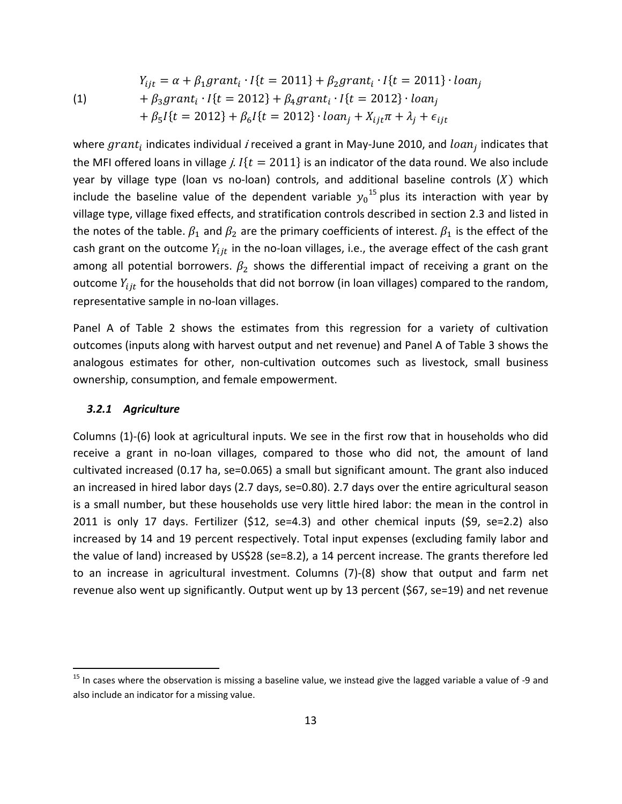(1)  $Y_{iit} = \alpha + \beta_1 grant_i \cdot I\{t = 2011\} + \beta_2 grant_i \cdot I\{t = 2011\} \cdot loan_i$  $+\beta_3 grant_i \cdot l\{t = 2012\} + \beta_4 grant_i \cdot l\{t = 2012\} \cdot loan_i$  $+\beta_5 I\{t = 2012\} + \beta_6 I\{t = 2012\} \cdot loan_i + X_{i} + \lambda_i + \epsilon_{i}$ 

where  $grant_i$  indicates individual i received a grant in May-June 2010, and  $loan_i$  indicates that the MFI offered loans in village j.  $I(t = 2011)$  is an indicator of the data round. We also include year by village type (loan vs no-loan) controls, and additional baseline controls  $(X)$  which include the baseline value of the dependent variable  $y_0$ <sup>15</sup> plus its interaction with year by village type, village fixed effects, and stratification controls described in section 2.3 and listed in the notes of the table.  $\beta_1$  and  $\beta_2$  are the primary coefficients of interest.  $\beta_1$  is the effect of the cash grant on the outcome  $Y_{ijt}$  in the no-loan villages, i.e., the average effect of the cash grant among all potential borrowers.  $\beta_2$  shows the differential impact of receiving a grant on the outcome  $Y_{ijt}$  for the households that did not borrow (in loan villages) compared to the random, representative sample in no‐loan villages.

Panel A of Table 2 shows the estimates from this regression for a variety of cultivation outcomes (inputs along with harvest output and net revenue) and Panel A of Table 3 shows the analogous estimates for other, non-cultivation outcomes such as livestock, small business ownership, consumption, and female empowerment.

## *3.2.1 Agriculture*

Columns (1)‐(6) look at agricultural inputs. We see in the first row that in households who did receive a grant in no-loan villages, compared to those who did not, the amount of land cultivated increased (0.17 ha, se=0.065) a small but significant amount. The grant also induced an increased in hired labor days (2.7 days, se=0.80). 2.7 days over the entire agricultural season is a small number, but these households use very little hired labor: the mean in the control in 2011 is only 17 days. Fertilizer (\$12, se=4.3) and other chemical inputs (\$9, se=2.2) also increased by 14 and 19 percent respectively. Total input expenses (excluding family labor and the value of land) increased by US\$28 (se=8.2), a 14 percent increase. The grants therefore led to an increase in agricultural investment. Columns (7)‐(8) show that output and farm net revenue also went up significantly. Output went up by 13 percent (\$67, se=19) and net revenue

 $15$  In cases where the observation is missing a baseline value, we instead give the lagged variable a value of -9 and also include an indicator for a missing value.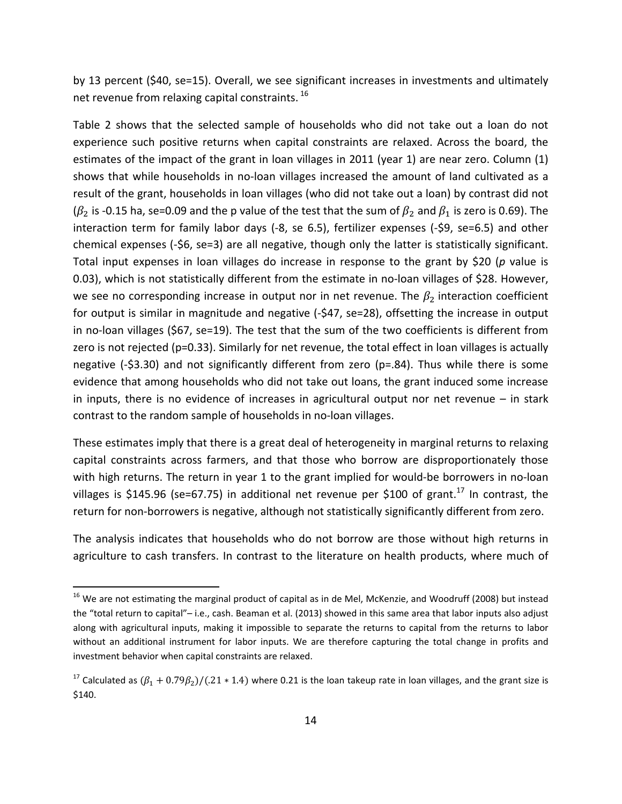by 13 percent (\$40, se=15). Overall, we see significant increases in investments and ultimately net revenue from relaxing capital constraints. <sup>16</sup>

Table 2 shows that the selected sample of households who did not take out a loan do not experience such positive returns when capital constraints are relaxed. Across the board, the estimates of the impact of the grant in loan villages in 2011 (year 1) are near zero. Column (1) shows that while households in no‐loan villages increased the amount of land cultivated as a result of the grant, households in loan villages (who did not take out a loan) by contrast did not ( $\beta_2$  is -0.15 ha, se=0.09 and the p value of the test that the sum of  $\beta_2$  and  $\beta_1$  is zero is 0.69). The interaction term for family labor days (‐8, se 6.5), fertilizer expenses (‐\$9, se=6.5) and other chemical expenses (‐\$6, se=3) are all negative, though only the latter is statistically significant. Total input expenses in loan villages do increase in response to the grant by \$20 (*p* value is 0.03), which is not statistically different from the estimate in no-loan villages of \$28. However, we see no corresponding increase in output nor in net revenue. The  $\beta_2$  interaction coefficient for output is similar in magnitude and negative (-\$47, se=28), offsetting the increase in output in no‐loan villages (\$67, se=19). The test that the sum of the two coefficients is different from zero is not rejected (p=0.33). Similarly for net revenue, the total effect in loan villages is actually negative (-\$3.30) and not significantly different from zero (p=.84). Thus while there is some evidence that among households who did not take out loans, the grant induced some increase in inputs, there is no evidence of increases in agricultural output nor net revenue – in stark contrast to the random sample of households in no‐loan villages.

These estimates imply that there is a great deal of heterogeneity in marginal returns to relaxing capital constraints across farmers, and that those who borrow are disproportionately those with high returns. The return in year 1 to the grant implied for would-be borrowers in no-loan villages is \$145.96 (se=67.75) in additional net revenue per \$100 of grant.<sup>17</sup> In contrast, the return for non-borrowers is negative, although not statistically significantly different from zero.

The analysis indicates that households who do not borrow are those without high returns in agriculture to cash transfers. In contrast to the literature on health products, where much of

 $16$  We are not estimating the marginal product of capital as in de Mel, McKenzie, and Woodruff (2008) but instead the "total return to capital"– i.e., cash. Beaman et al. (2013) showed in this same area that labor inputs also adjust along with agricultural inputs, making it impossible to separate the returns to capital from the returns to labor without an additional instrument for labor inputs. We are therefore capturing the total change in profits and investment behavior when capital constraints are relaxed.

<sup>&</sup>lt;sup>17</sup> Calculated as  $(\beta_1 + 0.79\beta_2)/(0.21 * 1.4)$  where 0.21 is the loan takeup rate in loan villages, and the grant size is \$140.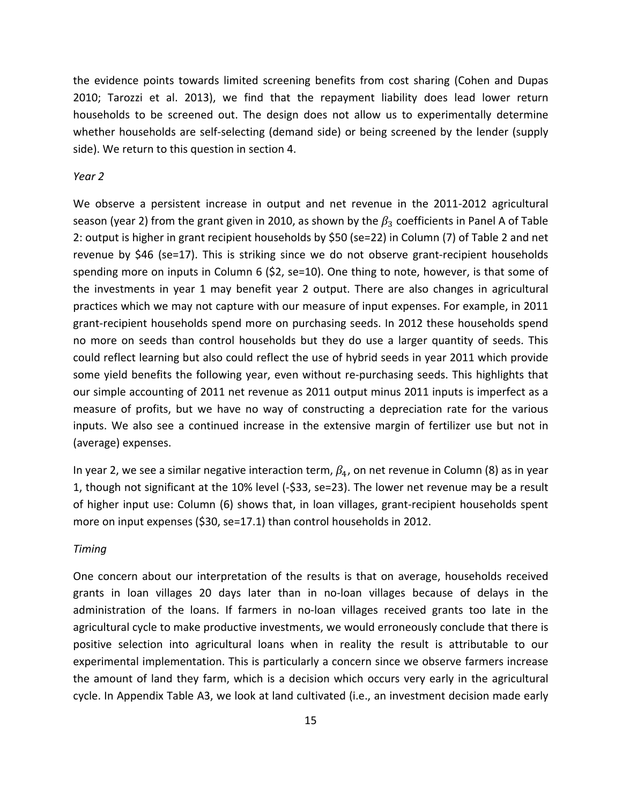the evidence points towards limited screening benefits from cost sharing (Cohen and Dupas 2010; Tarozzi et al. 2013), we find that the repayment liability does lead lower return households to be screened out. The design does not allow us to experimentally determine whether households are self-selecting (demand side) or being screened by the lender (supply side). We return to this question in section 4.

#### *Year 2*

We observe a persistent increase in output and net revenue in the 2011-2012 agricultural season (year 2) from the grant given in 2010, as shown by the  $\beta_3$  coefficients in Panel A of Table 2: output is higher in grant recipient households by \$50 (se=22) in Column (7) of Table 2 and net revenue by \$46 (se=17). This is striking since we do not observe grant‐recipient households spending more on inputs in Column 6 (\$2, se=10). One thing to note, however, is that some of the investments in year 1 may benefit year 2 output. There are also changes in agricultural practices which we may not capture with our measure of input expenses. For example, in 2011 grant-recipient households spend more on purchasing seeds. In 2012 these households spend no more on seeds than control households but they do use a larger quantity of seeds. This could reflect learning but also could reflect the use of hybrid seeds in year 2011 which provide some yield benefits the following year, even without re-purchasing seeds. This highlights that our simple accounting of 2011 net revenue as 2011 output minus 2011 inputs is imperfect as a measure of profits, but we have no way of constructing a depreciation rate for the various inputs. We also see a continued increase in the extensive margin of fertilizer use but not in (average) expenses.

In year 2, we see a similar negative interaction term,  $\beta_4$ , on net revenue in Column (8) as in year 1, though not significant at the 10% level (‐\$33, se=23). The lower net revenue may be a result of higher input use: Column (6) shows that, in loan villages, grant‐recipient households spent more on input expenses (\$30, se=17.1) than control households in 2012.

### *Timing*

One concern about our interpretation of the results is that on average, households received grants in loan villages 20 days later than in no‐loan villages because of delays in the administration of the loans. If farmers in no‐loan villages received grants too late in the agricultural cycle to make productive investments, we would erroneously conclude that there is positive selection into agricultural loans when in reality the result is attributable to our experimental implementation. This is particularly a concern since we observe farmers increase the amount of land they farm, which is a decision which occurs very early in the agricultural cycle. In Appendix Table A3, we look at land cultivated (i.e., an investment decision made early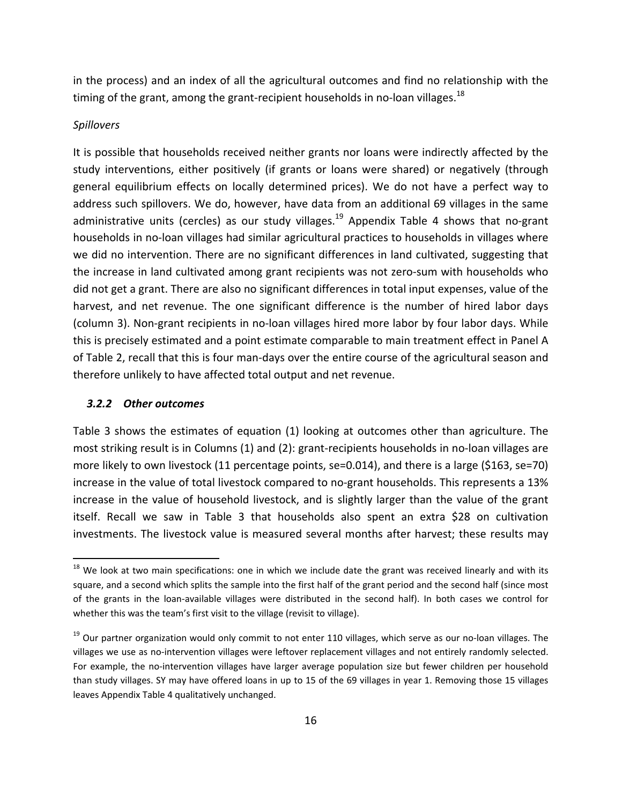in the process) and an index of all the agricultural outcomes and find no relationship with the timing of the grant, among the grant-recipient households in no-loan villages.<sup>18</sup>

### *Spillovers*

It is possible that households received neither grants nor loans were indirectly affected by the study interventions, either positively (if grants or loans were shared) or negatively (through general equilibrium effects on locally determined prices). We do not have a perfect way to address such spillovers. We do, however, have data from an additional 69 villages in the same administrative units (cercles) as our study villages.<sup>19</sup> Appendix Table 4 shows that no-grant households in no‐loan villages had similar agricultural practices to households in villages where we did no intervention. There are no significant differences in land cultivated, suggesting that the increase in land cultivated among grant recipients was not zero-sum with households who did not get a grant. There are also no significant differences in total input expenses, value of the harvest, and net revenue. The one significant difference is the number of hired labor days (column 3). Non‐grant recipients in no‐loan villages hired more labor by four labor days. While this is precisely estimated and a point estimate comparable to main treatment effect in Panel A of Table 2, recall that this is four man‐days over the entire course of the agricultural season and therefore unlikely to have affected total output and net revenue.

## *3.2.2 Other outcomes*

Table 3 shows the estimates of equation (1) looking at outcomes other than agriculture. The most striking result is in Columns (1) and (2): grant‐recipients households in no‐loan villages are more likely to own livestock (11 percentage points, se=0.014), and there is a large (\$163, se=70) increase in the value of total livestock compared to no‐grant households. This represents a 13% increase in the value of household livestock, and is slightly larger than the value of the grant itself. Recall we saw in Table 3 that households also spent an extra \$28 on cultivation investments. The livestock value is measured several months after harvest; these results may

 $^{18}$  We look at two main specifications: one in which we include date the grant was received linearly and with its square, and a second which splits the sample into the first half of the grant period and the second half (since most of the grants in the loan‐available villages were distributed in the second half). In both cases we control for whether this was the team's first visit to the village (revisit to village).

<sup>&</sup>lt;sup>19</sup> Our partner organization would only commit to not enter 110 villages, which serve as our no-loan villages. The villages we use as no-intervention villages were leftover replacement villages and not entirely randomly selected. For example, the no‐intervention villages have larger average population size but fewer children per household than study villages. SY may have offered loans in up to 15 of the 69 villages in year 1. Removing those 15 villages leaves Appendix Table 4 qualitatively unchanged.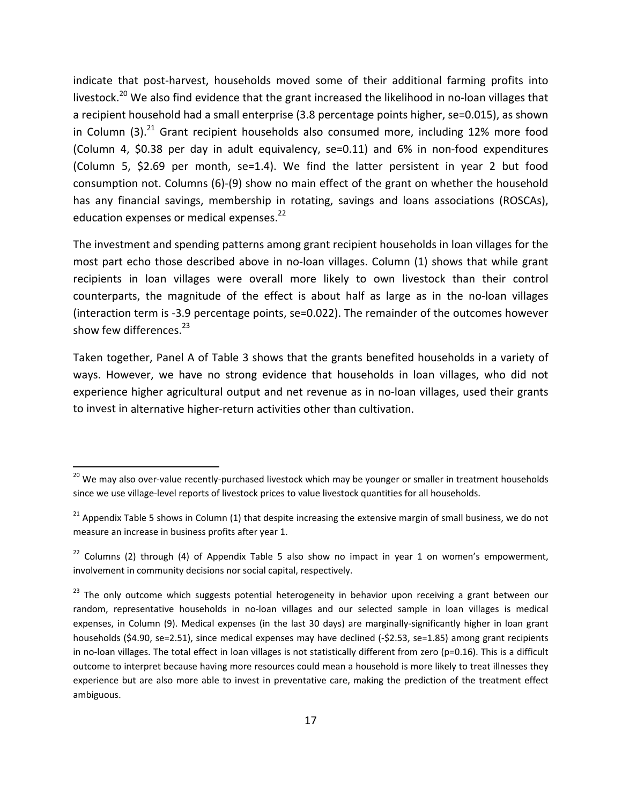indicate that post-harvest, households moved some of their additional farming profits into livestock.<sup>20</sup> We also find evidence that the grant increased the likelihood in no-loan villages that a recipient household had a small enterprise (3.8 percentage points higher, se=0.015), as shown in Column  $(3)$ .<sup>21</sup> Grant recipient households also consumed more, including 12% more food (Column 4, \$0.38 per day in adult equivalency, se=0.11) and 6% in non‐food expenditures (Column 5, \$2.69 per month, se=1.4). We find the latter persistent in year 2 but food consumption not. Columns (6)‐(9) show no main effect of the grant on whether the household has any financial savings, membership in rotating, savings and loans associations (ROSCAs), education expenses or medical expenses.<sup>22</sup>

The investment and spending patterns among grant recipient households in loan villages for the most part echo those described above in no-loan villages. Column (1) shows that while grant recipients in loan villages were overall more likely to own livestock than their control counterparts, the magnitude of the effect is about half as large as in the no‐loan villages (interaction term is ‐3.9 percentage points, se=0.022). The remainder of the outcomes however show few differences. $^{23}$ 

Taken together, Panel A of Table 3 shows that the grants benefited households in a variety of ways. However, we have no strong evidence that households in loan villages, who did not experience higher agricultural output and net revenue as in no-loan villages, used their grants to invest in alternative higher‐return activities other than cultivation.

<sup>&</sup>lt;sup>20</sup> We may also over-value recently-purchased livestock which may be younger or smaller in treatment households since we use village-level reports of livestock prices to value livestock quantities for all households.

 $21$  Appendix Table 5 shows in Column (1) that despite increasing the extensive margin of small business, we do not measure an increase in business profits after year 1.

 $22$  Columns (2) through (4) of Appendix Table 5 also show no impact in year 1 on women's empowerment, involvement in community decisions nor social capital, respectively.

<sup>&</sup>lt;sup>23</sup> The only outcome which suggests potential heterogeneity in behavior upon receiving a grant between our random, representative households in no-loan villages and our selected sample in loan villages is medical expenses, in Column (9). Medical expenses (in the last 30 days) are marginally‐significantly higher in loan grant households (\$4.90, se=2.51), since medical expenses may have declined (-\$2.53, se=1.85) among grant recipients in no-loan villages. The total effect in loan villages is not statistically different from zero (p=0.16). This is a difficult outcome to interpret because having more resources could mean a household is more likely to treat illnesses they experience but are also more able to invest in preventative care, making the prediction of the treatment effect ambiguous.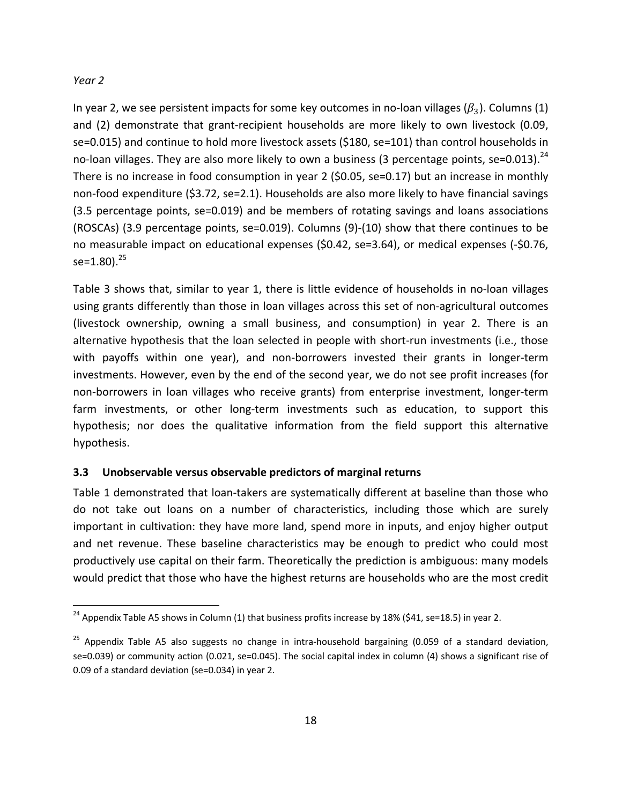## *Year 2*

In year 2, we see persistent impacts for some key outcomes in no-loan villages  $(\beta_3)$ . Columns (1) and (2) demonstrate that grant-recipient households are more likely to own livestock (0.09, se=0.015) and continue to hold more livestock assets (\$180, se=101) than control households in no-loan villages. They are also more likely to own a business (3 percentage points, se=0.013).<sup>24</sup> There is no increase in food consumption in year 2 (\$0.05, se=0.17) but an increase in monthly non‐food expenditure (\$3.72, se=2.1). Households are also more likely to have financial savings (3.5 percentage points, se=0.019) and be members of rotating savings and loans associations (ROSCAs) (3.9 percentage points, se=0.019). Columns (9)‐(10) show that there continues to be no measurable impact on educational expenses (\$0.42, se=3.64), or medical expenses (‐\$0.76, se= $1.80$ ).<sup>25</sup>

Table 3 shows that, similar to year 1, there is little evidence of households in no‐loan villages using grants differently than those in loan villages across this set of non-agricultural outcomes (livestock ownership, owning a small business, and consumption) in year 2. There is an alternative hypothesis that the loan selected in people with short‐run investments (i.e., those with payoffs within one year), and non-borrowers invested their grants in longer-term investments. However, even by the end of the second year, we do not see profit increases (for non‐borrowers in loan villages who receive grants) from enterprise investment, longer‐term farm investments, or other long-term investments such as education, to support this hypothesis; nor does the qualitative information from the field support this alternative hypothesis.

# **3.3 Unobservable versus observable predictors of marginal returns**

Table 1 demonstrated that loan-takers are systematically different at baseline than those who do not take out loans on a number of characteristics, including those which are surely important in cultivation: they have more land, spend more in inputs, and enjoy higher output and net revenue. These baseline characteristics may be enough to predict who could most productively use capital on their farm. Theoretically the prediction is ambiguous: many models would predict that those who have the highest returns are households who are the most credit

 $^{24}$  Appendix Table A5 shows in Column (1) that business profits increase by 18% (\$41, se=18.5) in year 2.

<sup>&</sup>lt;sup>25</sup> Appendix Table A5 also suggests no change in intra-household bargaining (0.059 of a standard deviation, se=0.039) or community action (0.021, se=0.045). The social capital index in column (4) shows a significant rise of 0.09 of a standard deviation (se=0.034) in year 2.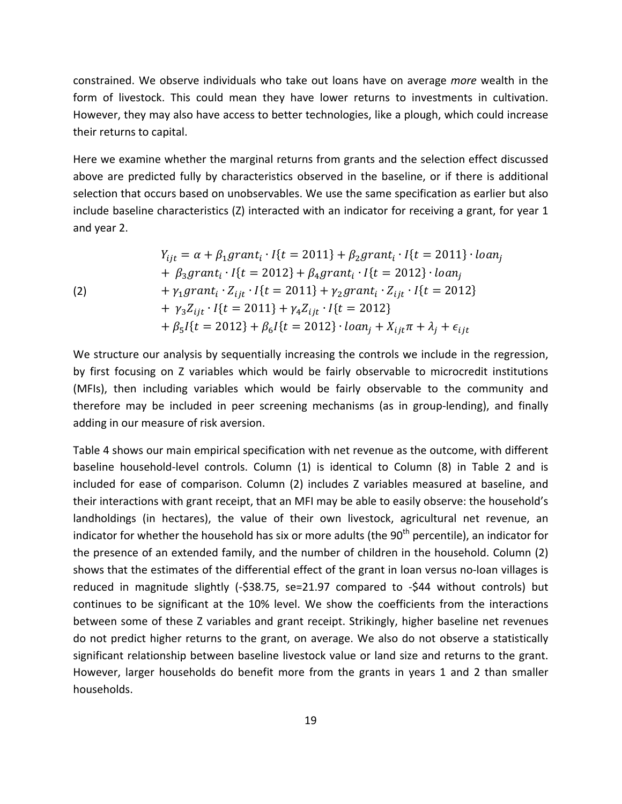constrained. We observe individuals who take out loans have on average *more* wealth in the form of livestock. This could mean they have lower returns to investments in cultivation. However, they may also have access to better technologies, like a plough, which could increase their returns to capital.

Here we examine whether the marginal returns from grants and the selection effect discussed above are predicted fully by characteristics observed in the baseline, or if there is additional selection that occurs based on unobservables. We use the same specification as earlier but also include baseline characteristics (Z) interacted with an indicator for receiving a grant, for year 1 and year 2.

(2)  
\n
$$
Y_{ijt} = \alpha + \beta_1 grant_i \cdot I\{t = 2011\} + \beta_2 grant_i \cdot I\{t = 2011\} \cdot loan_j
$$
\n
$$
+ \beta_3 grant_i \cdot I\{t = 2012\} + \beta_4 grant_i \cdot I\{t = 2012\} \cdot loan_j
$$
\n
$$
+ \gamma_1 grant_i \cdot Z_{ijt} \cdot I\{t = 2011\} + \gamma_2 grant_i \cdot Z_{ijt} \cdot I\{t = 2012\}
$$
\n
$$
+ \gamma_3 Z_{ijt} \cdot I\{t = 2011\} + \gamma_4 Z_{ijt} \cdot I\{t = 2012\}
$$
\n
$$
+ \beta_5 I\{t = 2012\} + \beta_6 I\{t = 2012\} \cdot loan_j + X_{ijt} \pi + \lambda_j + \epsilon_{ijt}
$$

We structure our analysis by sequentially increasing the controls we include in the regression, by first focusing on Z variables which would be fairly observable to microcredit institutions (MFIs), then including variables which would be fairly observable to the community and therefore may be included in peer screening mechanisms (as in group‐lending), and finally adding in our measure of risk aversion.

Table 4 shows our main empirical specification with net revenue as the outcome, with different baseline household-level controls. Column (1) is identical to Column (8) in Table 2 and is included for ease of comparison. Column (2) includes Z variables measured at baseline, and their interactions with grant receipt, that an MFI may be able to easily observe: the household's landholdings (in hectares), the value of their own livestock, agricultural net revenue, an indicator for whether the household has six or more adults (the  $90<sup>th</sup>$  percentile), an indicator for the presence of an extended family, and the number of children in the household. Column (2) shows that the estimates of the differential effect of the grant in loan versus no‐loan villages is reduced in magnitude slightly (-\$38.75, se=21.97 compared to -\$44 without controls) but continues to be significant at the 10% level. We show the coefficients from the interactions between some of these Z variables and grant receipt. Strikingly, higher baseline net revenues do not predict higher returns to the grant, on average. We also do not observe a statistically significant relationship between baseline livestock value or land size and returns to the grant. However, larger households do benefit more from the grants in years 1 and 2 than smaller households.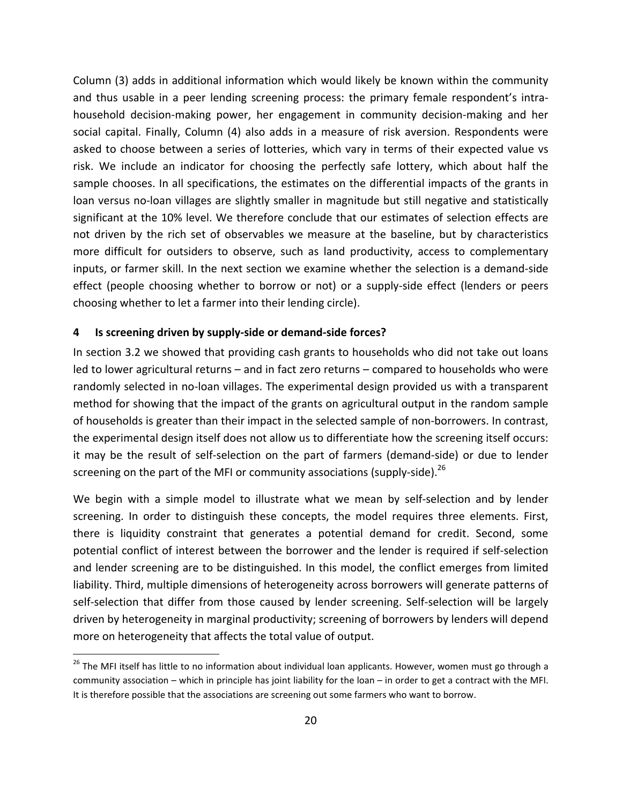Column (3) adds in additional information which would likely be known within the community and thus usable in a peer lending screening process: the primary female respondent's intrahousehold decision‐making power, her engagement in community decision‐making and her social capital. Finally, Column (4) also adds in a measure of risk aversion. Respondents were asked to choose between a series of lotteries, which vary in terms of their expected value vs risk. We include an indicator for choosing the perfectly safe lottery, which about half the sample chooses. In all specifications, the estimates on the differential impacts of the grants in loan versus no-loan villages are slightly smaller in magnitude but still negative and statistically significant at the 10% level. We therefore conclude that our estimates of selection effects are not driven by the rich set of observables we measure at the baseline, but by characteristics more difficult for outsiders to observe, such as land productivity, access to complementary inputs, or farmer skill. In the next section we examine whether the selection is a demand‐side effect (people choosing whether to borrow or not) or a supply‐side effect (lenders or peers choosing whether to let a farmer into their lending circle).

## **4 Is screening driven by supply‐side or demand‐side forces?**

In section 3.2 we showed that providing cash grants to households who did not take out loans led to lower agricultural returns – and in fact zero returns – compared to households who were randomly selected in no-loan villages. The experimental design provided us with a transparent method for showing that the impact of the grants on agricultural output in the random sample of households is greater than their impact in the selected sample of non‐borrowers. In contrast, the experimental design itself does not allow us to differentiate how the screening itself occurs: it may be the result of self‐selection on the part of farmers (demand‐side) or due to lender screening on the part of the MFI or community associations (supply-side).<sup>26</sup>

We begin with a simple model to illustrate what we mean by self-selection and by lender screening. In order to distinguish these concepts, the model requires three elements. First, there is liquidity constraint that generates a potential demand for credit. Second, some potential conflict of interest between the borrower and the lender is required if self‐selection and lender screening are to be distinguished. In this model, the conflict emerges from limited liability. Third, multiple dimensions of heterogeneity across borrowers will generate patterns of self-selection that differ from those caused by lender screening. Self-selection will be largely driven by heterogeneity in marginal productivity; screening of borrowers by lenders will depend more on heterogeneity that affects the total value of output.

<sup>&</sup>lt;sup>26</sup> The MFI itself has little to no information about individual loan applicants. However, women must go through a community association – which in principle has joint liability for the loan – in order to get a contract with the MFI. It is therefore possible that the associations are screening out some farmers who want to borrow.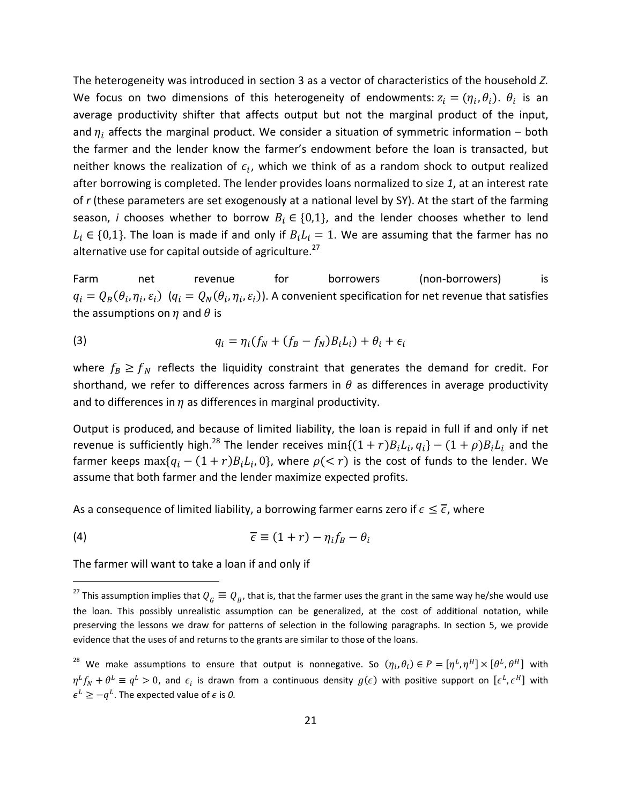The heterogeneity was introduced in section 3 as a vector of characteristics of the household *Z.* We focus on two dimensions of this heterogeneity of endowments:  $z_i = (\eta_i, \theta_i)$ .  $\theta_i$  is an average productivity shifter that affects output but not the marginal product of the input, and  $\eta_i$  affects the marginal product. We consider a situation of symmetric information – both the farmer and the lender know the farmer's endowment before the loan is transacted, but neither knows the realization of  $\epsilon_i$ , which we think of as a random shock to output realized after borrowing is completed. The lender provides loans normalized to size *1*, at an interest rate of *r* (these parameters are set exogenously at a national level by SY). At the start of the farming season, *i* chooses whether to borrow  $B_i \in \{0,1\}$ , and the lender chooses whether to lend  $L_i \in \{0,1\}$ . The loan is made if and only if  $B_i L_i = 1$ . We are assuming that the farmer has no alternative use for capital outside of agriculture.<sup>27</sup>

Farm net revenue for borrowers (non-borrowers) is  $q_i = Q_B(\theta_i, \eta_i, \varepsilon_i)$   $(q_i = Q_N(\theta_i, \eta_i, \varepsilon_i))$ . A convenient specification for net revenue that satisfies the assumptions on  $\eta$  and  $\theta$  is

$$
q_i = \eta_i(f_N + (f_B - f_N)B_i L_i) + \theta_i + \epsilon_i
$$

where  $f_B \ge f_N$  reflects the liquidity constraint that generates the demand for credit. For shorthand, we refer to differences across farmers in  $\theta$  as differences in average productivity and to differences in  $\eta$  as differences in marginal productivity.

Output is produced, and because of limited liability, the loan is repaid in full if and only if net revenue is sufficiently high.<sup>28</sup> The lender receives  $min\{(1+r)B_iL_i, q_i\} - (1+\rho)B_iL_i$  and the farmer keeps  $\max\{q_i - (1+r)B_iL_i, 0\}$ , where  $\rho(< r)$  is the cost of funds to the lender. We assume that both farmer and the lender maximize expected profits.

As a consequence of limited liability, a borrowing farmer earns zero if  $\epsilon \leq \overline{\epsilon}$ , where

$$
\overline{\epsilon} \equiv (1+r) - \eta_i f_B - \theta_i
$$

The farmer will want to take a loan if and only if

<sup>&</sup>lt;sup>27</sup> This assumption implies that  $Q_G \equiv Q_B$ , that is, that the farmer uses the grant in the same way he/she would use the loan. This possibly unrealistic assumption can be generalized, at the cost of additional notation, while preserving the lessons we draw for patterns of selection in the following paragraphs. In section 5, we provide evidence that the uses of and returns to the grants are similar to those of the loans.

<sup>&</sup>lt;sup>28</sup> We make assumptions to ensure that output is nonnegative. So  $(\eta_i, \theta_i) \in P = [\eta^L, \eta^H] \times [\theta^L, \theta^H]$  with  $\eta^L f_N + \theta^L \equiv q^L > 0$ , and  $\epsilon_i$  is drawn from a continuous density  $g(\epsilon)$  with positive support on  $[\epsilon^L, \epsilon^H]$  with  $\epsilon^L \ge -q^L$ . The expected value of  $\epsilon$  is 0.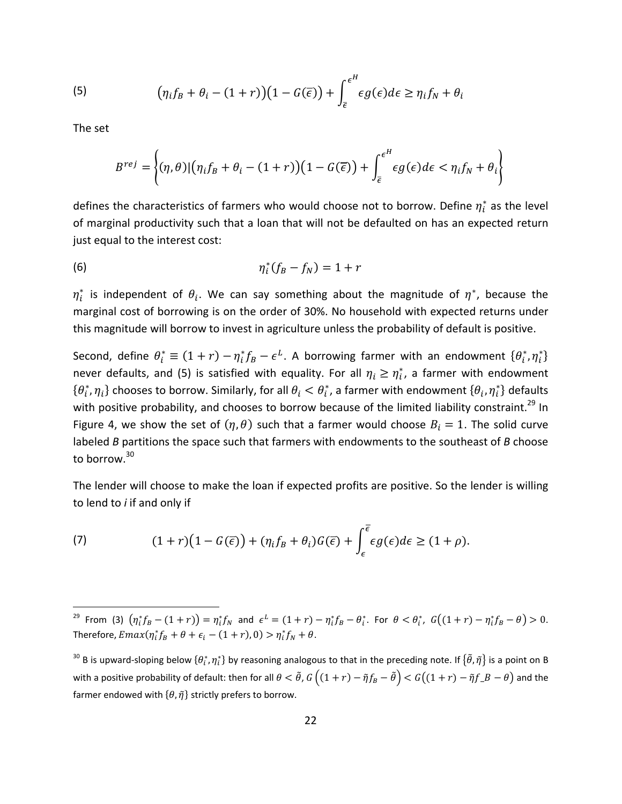(5) 
$$
\left(\eta_i f_B + \theta_i - (1+r)\right)\left(1 - G(\overline{\epsilon})\right) + \int_{\overline{\epsilon}}^{\epsilon^H} \epsilon g(\epsilon) d\epsilon \geq \eta_i f_N + \theta_i
$$

The set

$$
B^{rej} = \left\{ (\eta, \theta) | (\eta_i f_B + \theta_i - (1+r))(1 - G(\overline{\epsilon})) + \int_{\overline{\epsilon}}^{\epsilon^H} \epsilon g(\epsilon) d\epsilon < \eta_i f_N + \theta_i \right\}
$$

defines the characteristics of farmers who would choose not to borrow. Define  $\eta^*_i$  as the level of marginal productivity such that a loan that will not be defaulted on has an expected return just equal to the interest cost:

$$
\eta_i^*(f_B - f_N) = 1 + r
$$

 $\eta_i^*$  is independent of  $\theta_i$ . We can say something about the magnitude of  $\eta^*$ , because the marginal cost of borrowing is on the order of 30%. No household with expected returns under this magnitude will borrow to invest in agriculture unless the probability of default is positive.

Second, define  $\theta_i^* \equiv (1+r) - \eta_i^* f_B - \epsilon^L$ . A borrowing farmer with an endowment  $\{\theta_i^*, \eta_i^*\}$ never defaults, and (5) is satisfied with equality. For all  $\eta_i \geq \eta_i^*$ , a farmer with endowment  $\{\theta_i^*,\eta_i\}$  chooses to borrow. Similarly, for all  $\theta_i<\theta_i^*$ , a farmer with endowment  $\{\theta_i,\eta_i^*\}$  defaults with positive probability, and chooses to borrow because of the limited liability constraint.<sup>29</sup> In Figure 4, we show the set of  $(\eta, \theta)$  such that a farmer would choose  $B_i = 1$ . The solid curve labeled *B* partitions the space such that farmers with endowments to the southeast of *B* choose to borrow.<sup>30</sup>

The lender will choose to make the loan if expected profits are positive. So the lender is willing to lend to *i* if and only if

(7) 
$$
(1+r)(1-G(\overline{\epsilon})) + (\eta_i f_B + \theta_i)G(\overline{\epsilon}) + \int_{\epsilon}^{\overline{\epsilon}} \epsilon g(\epsilon) d\epsilon \geq (1+\rho).
$$

 $^{29}$  From (3)  $\left(\eta^*_i f_B - (1+r)\right) = \eta^*_i f_N$  and  $\epsilon^L = (1+r) - \eta^*_i f_B - \theta^*_i$ . For  $\theta < \theta^*_i$ ,  $G\big((1+r) - \eta^*_i f_B - \theta\big) > 0$ . Therefore,  $Emax(\eta_i^* f_B + \theta + \epsilon_i - (1+r), 0) > \eta_i^* f_N + \theta$ .

 $^{30}$  B is upward-sloping below  $\{\theta^*_t,\eta^*_t\}$  by reasoning analogous to that in the preceding note. If  $\{\tilde\theta,\tilde\eta\}$  is a point on B with a positive probability of default: then for all  $\theta < \tilde{\theta}$ ,  $G((1+r) - \tilde{\eta}f_B - \tilde{\theta}) < G((1+r) - \tilde{\eta}f_B - \theta)$  and the farmer endowed with  $\{\theta, \tilde{\eta}\}$  strictly prefers to borrow.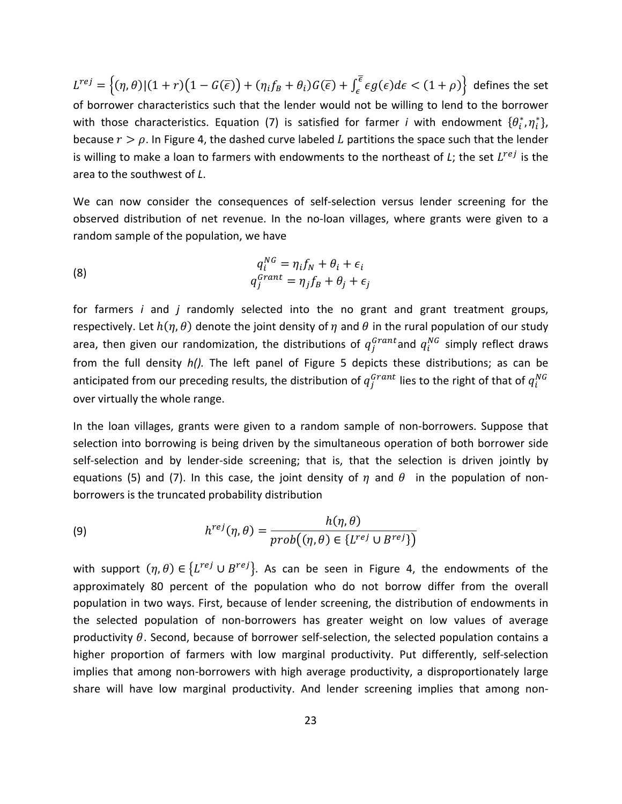$L^{rej}=\left\{(\eta,\theta)|(1+r)\big(1-G(\overline{\epsilon})\big)+(\eta_if_B+\theta_i)G(\overline{\epsilon})+\int_\epsilon^{\overline{\epsilon}}\epsilon g(\epsilon)d\epsilon<(1+\rho)\right\}$  defines the set of borrower characteristics such that the lender would not be willing to lend to the borrower with those characteristics. Equation (7) is satisfied for farmer *i* with endowment  $\{\theta_i^*, \eta_i^*\}$ , because  $r > \rho$ . In Figure 4, the dashed curve labeled L partitions the space such that the lender is willing to make a loan to farmers with endowments to the northeast of *L*; the set  $L^{ref}$  is the area to the southwest of *L*.

We can now consider the consequences of self-selection versus lender screening for the observed distribution of net revenue. In the no‐loan villages, where grants were given to a random sample of the population, we have

(8) 
$$
q_i^{NG} = \eta_i f_N + \theta_i + \epsilon_i
$$

$$
q_j^{Grant} = \eta_j f_B + \theta_j + \epsilon_j
$$

for farmers *i* and *j* randomly selected into the no grant and grant treatment groups, respectively. Let  $h(\eta, \theta)$  denote the joint density of  $\eta$  and  $\theta$  in the rural population of our study area, then given our randomization, the distributions of  $q^{Grant}_j$  and  $q^{NG}_i$  simply reflect draws from the full density *h().* The left panel of Figure 5 depicts these distributions; as can be anticipated from our preceding results, the distribution of  $q^{Grant}_j$  lies to the right of that of  $q^{NG}_i$ over virtually the whole range.

In the loan villages, grants were given to a random sample of non‐borrowers. Suppose that selection into borrowing is being driven by the simultaneous operation of both borrower side self-selection and by lender-side screening; that is, that the selection is driven jointly by equations (5) and (7). In this case, the joint density of  $\eta$  and  $\theta$  in the population of nonborrowers is the truncated probability distribution

(9) 
$$
h^{rej}(\eta,\theta) = \frac{h(\eta,\theta)}{prob((\eta,\theta) \in \{L^{rej} \cup B^{rej}\})}
$$

with support  $(\eta, \theta) \in \{L^{rej} \cup B^{rej}\}\$ . As can be seen in Figure 4, the endowments of the approximately 80 percent of the population who do not borrow differ from the overall population in two ways. First, because of lender screening, the distribution of endowments in the selected population of non‐borrowers has greater weight on low values of average productivity  $\theta$ . Second, because of borrower self-selection, the selected population contains a higher proportion of farmers with low marginal productivity. Put differently, self-selection implies that among non‐borrowers with high average productivity, a disproportionately large share will have low marginal productivity. And lender screening implies that among non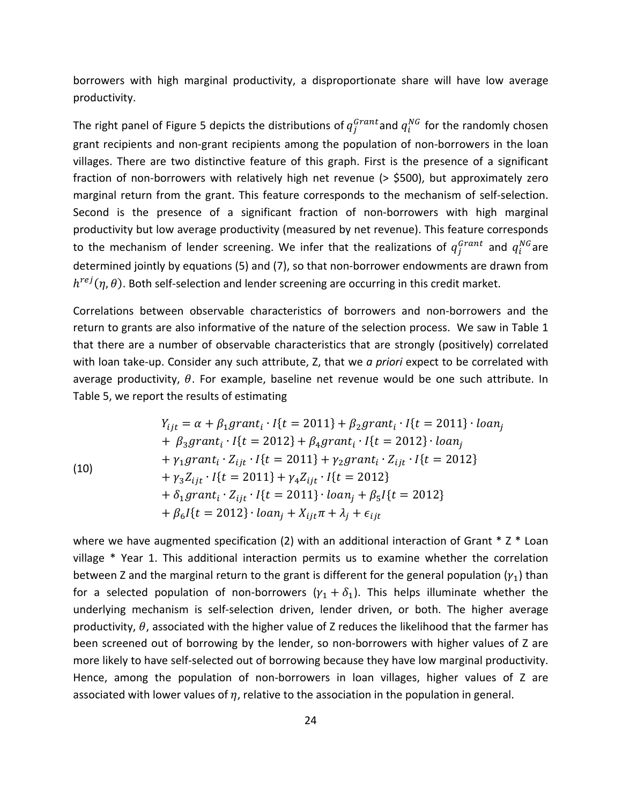borrowers with high marginal productivity, a disproportionate share will have low average productivity.

The right panel of Figure 5 depicts the distributions of  $q_j^{Grant}$  and  $q_i^{NG}$  for the randomly chosen grant recipients and non-grant recipients among the population of non-borrowers in the loan villages. There are two distinctive feature of this graph. First is the presence of a significant fraction of non-borrowers with relatively high net revenue (> \$500), but approximately zero marginal return from the grant. This feature corresponds to the mechanism of self‐selection. Second is the presence of a significant fraction of non-borrowers with high marginal productivity but low average productivity (measured by net revenue). This feature corresponds to the mechanism of lender screening. We infer that the realizations of  $q_j^{Grant}$  and  $q_i^{NG}$ are determined jointly by equations (5) and (7), so that non‐borrower endowments are drawn from  $h^{rej}(\eta,\theta)$ . Both self-selection and lender screening are occurring in this credit market.

Correlations between observable characteristics of borrowers and non‐borrowers and the return to grants are also informative of the nature of the selection process. We saw in Table 1 that there are a number of observable characteristics that are strongly (positively) correlated with loan take‐up. Consider any such attribute, Z, that we *a priori* expect to be correlated with average productivity,  $\theta$ . For example, baseline net revenue would be one such attribute. In Table 5, we report the results of estimating

(10)  
\n
$$
Y_{ijt} = \alpha + \beta_1 grant_i \cdot I\{t = 2011\} + \beta_2 grant_i \cdot I\{t = 2011\} \cdot loan_j
$$
\n
$$
+ \beta_3 grant_i \cdot I\{t = 2012\} + \beta_4 grant_i \cdot I\{t = 2012\} \cdot loan_j
$$
\n
$$
+ \gamma_1 grant_i \cdot Z_{ijt} \cdot I\{t = 2011\} + \gamma_2 grant_i \cdot Z_{ijt} \cdot I\{t = 2012\}
$$
\n
$$
+ \gamma_3 Z_{ijt} \cdot I\{t = 2011\} + \gamma_4 Z_{ijt} \cdot I\{t = 2012\}
$$
\n
$$
+ \delta_1 grant_i \cdot Z_{ijt} \cdot I\{t = 2011\} \cdot loan_j + \beta_5 I\{t = 2012\}
$$
\n
$$
+ \beta_6 I\{t = 2012\} \cdot loan_j + X_{ijt} \pi + \lambda_j + \epsilon_{ijt}
$$

where we have augmented specification (2) with an additional interaction of Grant  $*$  Z  $*$  Loan village \* Year 1. This additional interaction permits us to examine whether the correlation between Z and the marginal return to the grant is different for the general population  $(\gamma_1)$  than for a selected population of non-borrowers  $(y_1 + \delta_1)$ . This helps illuminate whether the underlying mechanism is self‐selection driven, lender driven, or both. The higher average productivity,  $\theta$ , associated with the higher value of Z reduces the likelihood that the farmer has been screened out of borrowing by the lender, so non‐borrowers with higher values of Z are more likely to have self-selected out of borrowing because they have low marginal productivity. Hence, among the population of non-borrowers in loan villages, higher values of Z are associated with lower values of  $\eta$ , relative to the association in the population in general.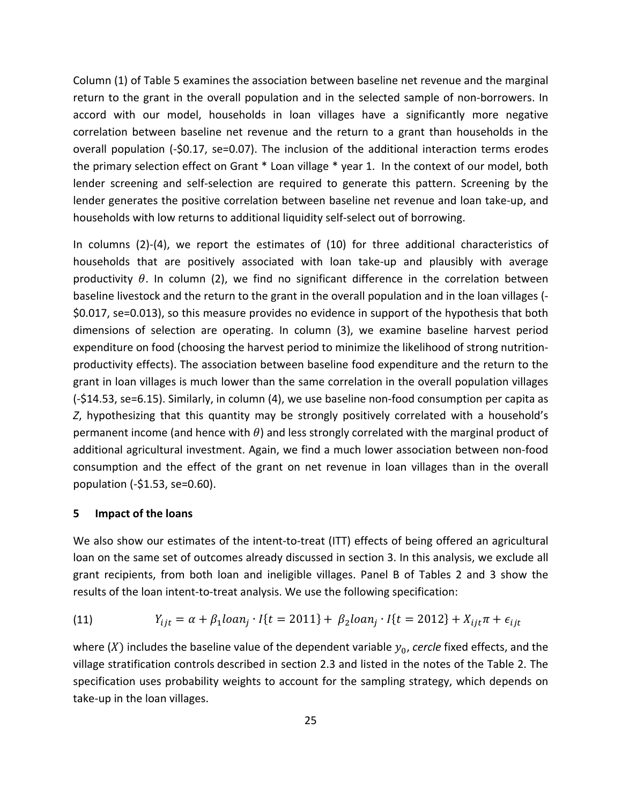Column (1) of Table 5 examines the association between baseline net revenue and the marginal return to the grant in the overall population and in the selected sample of non-borrowers. In accord with our model, households in loan villages have a significantly more negative correlation between baseline net revenue and the return to a grant than households in the overall population (‐\$0.17, se=0.07). The inclusion of the additional interaction terms erodes the primary selection effect on Grant \* Loan village \* year 1. In the context of our model, both lender screening and self-selection are required to generate this pattern. Screening by the lender generates the positive correlation between baseline net revenue and loan take‐up, and households with low returns to additional liquidity self‐select out of borrowing.

In columns (2)‐(4), we report the estimates of (10) for three additional characteristics of households that are positively associated with loan take-up and plausibly with average productivity  $\theta$ . In column (2), we find no significant difference in the correlation between baseline livestock and the return to the grant in the overall population and in the loan villages (‐ \$0.017, se=0.013), so this measure provides no evidence in support of the hypothesis that both dimensions of selection are operating. In column (3), we examine baseline harvest period expenditure on food (choosing the harvest period to minimize the likelihood of strong nutrition‐ productivity effects). The association between baseline food expenditure and the return to the grant in loan villages is much lower than the same correlation in the overall population villages (‐\$14.53, se=6.15). Similarly, in column (4), we use baseline non‐food consumption per capita as *Z*, hypothesizing that this quantity may be strongly positively correlated with a household's permanent income (and hence with  $\theta$ ) and less strongly correlated with the marginal product of additional agricultural investment. Again, we find a much lower association between non‐food consumption and the effect of the grant on net revenue in loan villages than in the overall population (‐\$1.53, se=0.60).

#### **5 Impact of the loans**

We also show our estimates of the intent-to-treat (ITT) effects of being offered an agricultural loan on the same set of outcomes already discussed in section 3. In this analysis, we exclude all grant recipients, from both loan and ineligible villages. Panel B of Tables 2 and 3 show the results of the loan intent‐to‐treat analysis. We use the following specification:

(11) 
$$
Y_{ijt} = \alpha + \beta_1 loan_j \cdot I\{t = 2011\} + \beta_2 loan_j \cdot I\{t = 2012\} + X_{ijt} \pi + \epsilon_{ijt}
$$

where  $(X)$  includes the baseline value of the dependent variable  $y_0$ , *cercle* fixed effects, and the village stratification controls described in section 2.3 and listed in the notes of the Table 2. The specification uses probability weights to account for the sampling strategy, which depends on take‐up in the loan villages.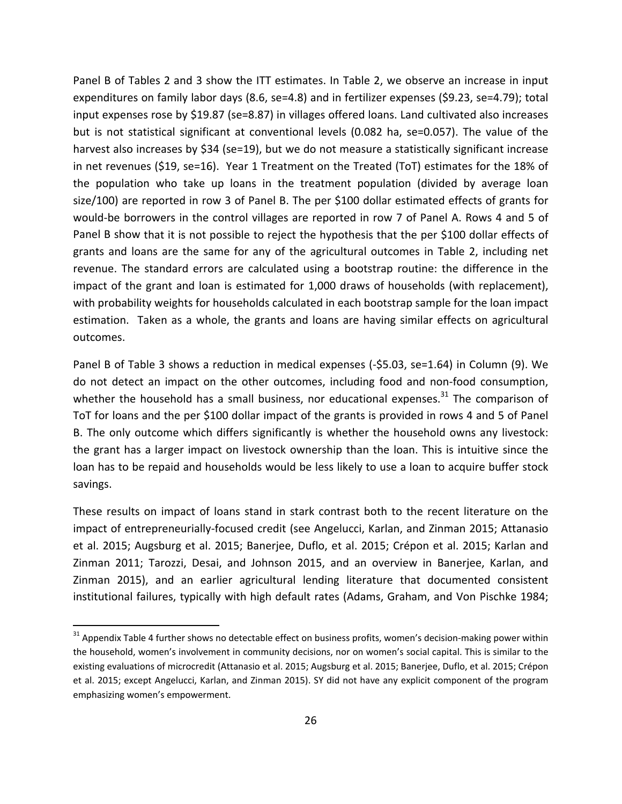Panel B of Tables 2 and 3 show the ITT estimates. In Table 2, we observe an increase in input expenditures on family labor days (8.6, se=4.8) and in fertilizer expenses (\$9.23, se=4.79); total input expenses rose by \$19.87 (se=8.87) in villages offered loans. Land cultivated also increases but is not statistical significant at conventional levels (0.082 ha, se=0.057). The value of the harvest also increases by \$34 (se=19), but we do not measure a statistically significant increase in net revenues (\$19, se=16). Year 1 Treatment on the Treated (ToT) estimates for the 18% of the population who take up loans in the treatment population (divided by average loan size/100) are reported in row 3 of Panel B. The per \$100 dollar estimated effects of grants for would‐be borrowers in the control villages are reported in row 7 of Panel A. Rows 4 and 5 of Panel B show that it is not possible to reject the hypothesis that the per \$100 dollar effects of grants and loans are the same for any of the agricultural outcomes in Table 2, including net revenue. The standard errors are calculated using a bootstrap routine: the difference in the impact of the grant and loan is estimated for 1,000 draws of households (with replacement), with probability weights for households calculated in each bootstrap sample for the loan impact estimation. Taken as a whole, the grants and loans are having similar effects on agricultural outcomes.

Panel B of Table 3 shows a reduction in medical expenses (‐\$5.03, se=1.64) in Column (9). We do not detect an impact on the other outcomes, including food and non‐food consumption, whether the household has a small business, nor educational expenses. $31$  The comparison of ToT for loans and the per \$100 dollar impact of the grants is provided in rows 4 and 5 of Panel B. The only outcome which differs significantly is whether the household owns any livestock: the grant has a larger impact on livestock ownership than the loan. This is intuitive since the loan has to be repaid and households would be less likely to use a loan to acquire buffer stock savings.

These results on impact of loans stand in stark contrast both to the recent literature on the impact of entrepreneurially‐focused credit (see Angelucci, Karlan, and Zinman 2015; Attanasio et al. 2015; Augsburg et al. 2015; Banerjee, Duflo, et al. 2015; Crépon et al. 2015; Karlan and Zinman 2011; Tarozzi, Desai, and Johnson 2015, and an overview in Banerjee, Karlan, and Zinman 2015), and an earlier agricultural lending literature that documented consistent institutional failures, typically with high default rates (Adams, Graham, and Von Pischke 1984;

<sup>&</sup>lt;sup>31</sup> Appendix Table 4 further shows no detectable effect on business profits, women's decision-making power within the household, women's involvement in community decisions, nor on women's social capital. This is similar to the existing evaluations of microcredit (Attanasio et al. 2015; Augsburg et al. 2015; Banerjee, Duflo, et al. 2015; Crépon et al. 2015; except Angelucci, Karlan, and Zinman 2015). SY did not have any explicit component of the program emphasizing women's empowerment.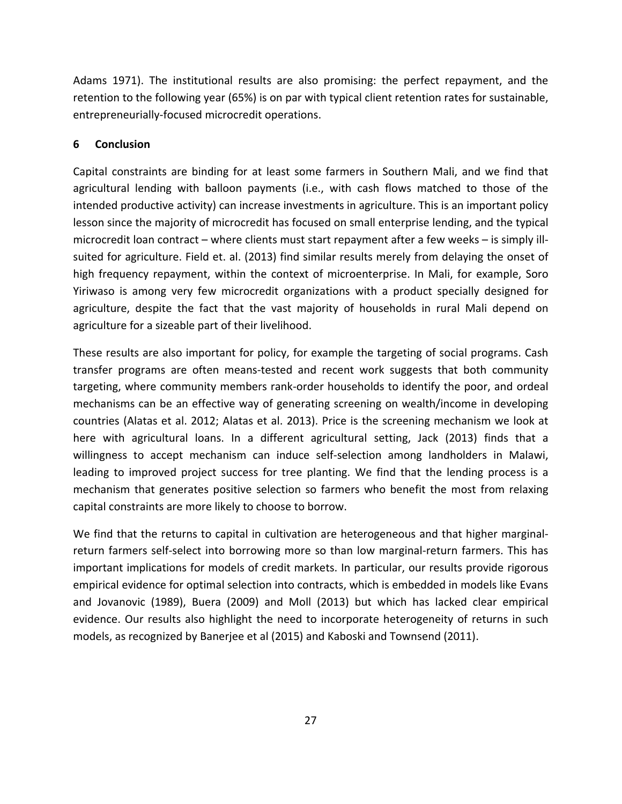Adams 1971). The institutional results are also promising: the perfect repayment, and the retention to the following year (65%) is on par with typical client retention rates for sustainable, entrepreneurially‐focused microcredit operations.

# **6 Conclusion**

Capital constraints are binding for at least some farmers in Southern Mali, and we find that agricultural lending with balloon payments (i.e., with cash flows matched to those of the intended productive activity) can increase investments in agriculture. This is an important policy lesson since the majority of microcredit has focused on small enterprise lending, and the typical microcredit loan contract – where clients must start repayment after a few weeks – is simply illsuited for agriculture. Field et. al. (2013) find similar results merely from delaying the onset of high frequency repayment, within the context of microenterprise. In Mali, for example, Soro Yiriwaso is among very few microcredit organizations with a product specially designed for agriculture, despite the fact that the vast majority of households in rural Mali depend on agriculture for a sizeable part of their livelihood.

These results are also important for policy, for example the targeting of social programs. Cash transfer programs are often means‐tested and recent work suggests that both community targeting, where community members rank‐order households to identify the poor, and ordeal mechanisms can be an effective way of generating screening on wealth/income in developing countries (Alatas et al. 2012; Alatas et al. 2013). Price is the screening mechanism we look at here with agricultural loans. In a different agricultural setting, Jack (2013) finds that a willingness to accept mechanism can induce self‐selection among landholders in Malawi, leading to improved project success for tree planting. We find that the lending process is a mechanism that generates positive selection so farmers who benefit the most from relaxing capital constraints are more likely to choose to borrow.

We find that the returns to capital in cultivation are heterogeneous and that higher marginalreturn farmers self-select into borrowing more so than low marginal-return farmers. This has important implications for models of credit markets. In particular, our results provide rigorous empirical evidence for optimal selection into contracts, which is embedded in models like Evans and Jovanovic (1989), Buera (2009) and Moll (2013) but which has lacked clear empirical evidence. Our results also highlight the need to incorporate heterogeneity of returns in such models, as recognized by Banerjee et al (2015) and Kaboski and Townsend (2011).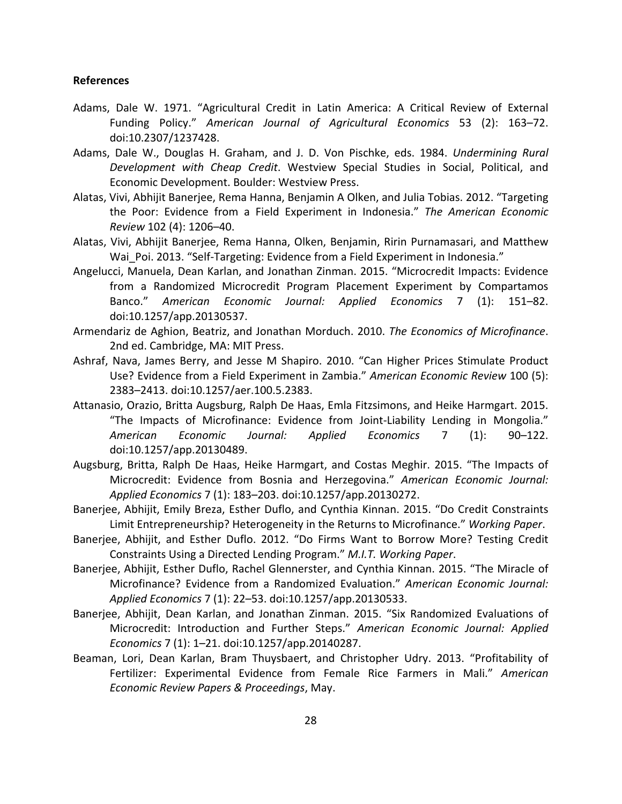## **References**

- Adams, Dale W. 1971. "Agricultural Credit in Latin America: A Critical Review of External Funding Policy." *American Journal of Agricultural Economics* 53 (2): 163–72. doi:10.2307/1237428.
- Adams, Dale W., Douglas H. Graham, and J. D. Von Pischke, eds. 1984. *Undermining Rural Development with Cheap Credit*. Westview Special Studies in Social, Political, and Economic Development. Boulder: Westview Press.
- Alatas, Vivi, Abhijit Banerjee, Rema Hanna, Benjamin A Olken, and Julia Tobias. 2012. "Targeting the Poor: Evidence from a Field Experiment in Indonesia." *The American Economic Review* 102 (4): 1206–40.
- Alatas, Vivi, Abhijit Banerjee, Rema Hanna, Olken, Benjamin, Ririn Purnamasari, and Matthew Wai Poi. 2013. "Self-Targeting: Evidence from a Field Experiment in Indonesia."
- Angelucci, Manuela, Dean Karlan, and Jonathan Zinman. 2015. "Microcredit Impacts: Evidence from a Randomized Microcredit Program Placement Experiment by Compartamos Banco." *American Economic Journal: Applied Economics* 7 (1): 151–82. doi:10.1257/app.20130537.
- Armendariz de Aghion, Beatriz, and Jonathan Morduch. 2010. *The Economics of Microfinance*. 2nd ed. Cambridge, MA: MIT Press.
- Ashraf, Nava, James Berry, and Jesse M Shapiro. 2010. "Can Higher Prices Stimulate Product Use? Evidence from a Field Experiment in Zambia." *American Economic Review* 100 (5): 2383–2413. doi:10.1257/aer.100.5.2383.
- Attanasio, Orazio, Britta Augsburg, Ralph De Haas, Emla Fitzsimons, and Heike Harmgart. 2015. "The Impacts of Microfinance: Evidence from Joint‐Liability Lending in Mongolia." *American Economic Journal: Applied Economics* 7 (1): 90–122. doi:10.1257/app.20130489.
- Augsburg, Britta, Ralph De Haas, Heike Harmgart, and Costas Meghir. 2015. "The Impacts of Microcredit: Evidence from Bosnia and Herzegovina." *American Economic Journal: Applied Economics* 7 (1): 183–203. doi:10.1257/app.20130272.
- Banerjee, Abhijit, Emily Breza, Esther Duflo, and Cynthia Kinnan. 2015. "Do Credit Constraints Limit Entrepreneurship? Heterogeneity in the Returns to Microfinance." *Working Paper*.
- Banerjee, Abhijit, and Esther Duflo. 2012. "Do Firms Want to Borrow More? Testing Credit Constraints Using a Directed Lending Program." *M.I.T. Working Paper*.
- Banerjee, Abhijit, Esther Duflo, Rachel Glennerster, and Cynthia Kinnan. 2015. "The Miracle of Microfinance? Evidence from a Randomized Evaluation." *American Economic Journal: Applied Economics* 7 (1): 22–53. doi:10.1257/app.20130533.
- Banerjee, Abhijit, Dean Karlan, and Jonathan Zinman. 2015. "Six Randomized Evaluations of Microcredit: Introduction and Further Steps." *American Economic Journal: Applied Economics* 7 (1): 1–21. doi:10.1257/app.20140287.
- Beaman, Lori, Dean Karlan, Bram Thuysbaert, and Christopher Udry. 2013. "Profitability of Fertilizer: Experimental Evidence from Female Rice Farmers in Mali." *American Economic Review Papers & Proceedings*, May.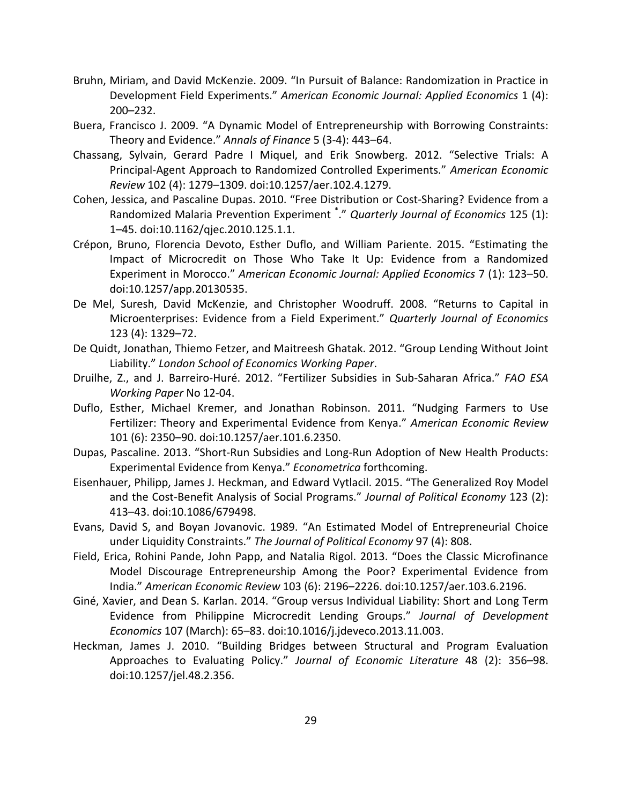- Bruhn, Miriam, and David McKenzie. 2009. "In Pursuit of Balance: Randomization in Practice in Development Field Experiments." *American Economic Journal: Applied Economics* 1 (4): 200–232.
- Buera, Francisco J. 2009. "A Dynamic Model of Entrepreneurship with Borrowing Constraints: Theory and Evidence." *Annals of Finance* 5 (3‐4): 443–64.
- Chassang, Sylvain, Gerard Padre I Miquel, and Erik Snowberg. 2012. "Selective Trials: A Principal‐Agent Approach to Randomized Controlled Experiments." *American Economic Review* 102 (4): 1279–1309. doi:10.1257/aer.102.4.1279.
- Cohen, Jessica, and Pascaline Dupas. 2010. "Free Distribution or Cost‐Sharing? Evidence from a Randomized Malaria Prevention Experiment \* ." *Quarterly Journal of Economics* 125 (1): 1–45. doi:10.1162/qjec.2010.125.1.1.
- Crépon, Bruno, Florencia Devoto, Esther Duflo, and William Pariente. 2015. "Estimating the Impact of Microcredit on Those Who Take It Up: Evidence from a Randomized Experiment in Morocco." *American Economic Journal: Applied Economics* 7 (1): 123–50. doi:10.1257/app.20130535.
- De Mel, Suresh, David McKenzie, and Christopher Woodruff. 2008. "Returns to Capital in Microenterprises: Evidence from a Field Experiment." *Quarterly Journal of Economics* 123 (4): 1329–72.
- De Quidt, Jonathan, Thiemo Fetzer, and Maitreesh Ghatak. 2012. "Group Lending Without Joint Liability." *London School of Economics Working Paper*.
- Druilhe, Z., and J. Barreiro‐Huré. 2012. "Fertilizer Subsidies in Sub‐Saharan Africa." *FAO ESA Working Paper* No 12‐04.
- Duflo, Esther, Michael Kremer, and Jonathan Robinson. 2011. "Nudging Farmers to Use Fertilizer: Theory and Experimental Evidence from Kenya." *American Economic Review* 101 (6): 2350–90. doi:10.1257/aer.101.6.2350.
- Dupas, Pascaline. 2013. "Short‐Run Subsidies and Long‐Run Adoption of New Health Products: Experimental Evidence from Kenya." *Econometrica* forthcoming.
- Eisenhauer, Philipp, James J. Heckman, and Edward Vytlacil. 2015. "The Generalized Roy Model and the Cost‐Benefit Analysis of Social Programs." *Journal of Political Economy* 123 (2): 413–43. doi:10.1086/679498.
- Evans, David S, and Boyan Jovanovic. 1989. "An Estimated Model of Entrepreneurial Choice under Liquidity Constraints." *The Journal of Political Economy* 97 (4): 808.
- Field, Erica, Rohini Pande, John Papp, and Natalia Rigol. 2013. "Does the Classic Microfinance Model Discourage Entrepreneurship Among the Poor? Experimental Evidence from India." *American Economic Review* 103 (6): 2196–2226. doi:10.1257/aer.103.6.2196.
- Giné, Xavier, and Dean S. Karlan. 2014. "Group versus Individual Liability: Short and Long Term Evidence from Philippine Microcredit Lending Groups." *Journal of Development Economics* 107 (March): 65–83. doi:10.1016/j.jdeveco.2013.11.003.
- Heckman, James J. 2010. "Building Bridges between Structural and Program Evaluation Approaches to Evaluating Policy." *Journal of Economic Literature* 48 (2): 356–98. doi:10.1257/jel.48.2.356.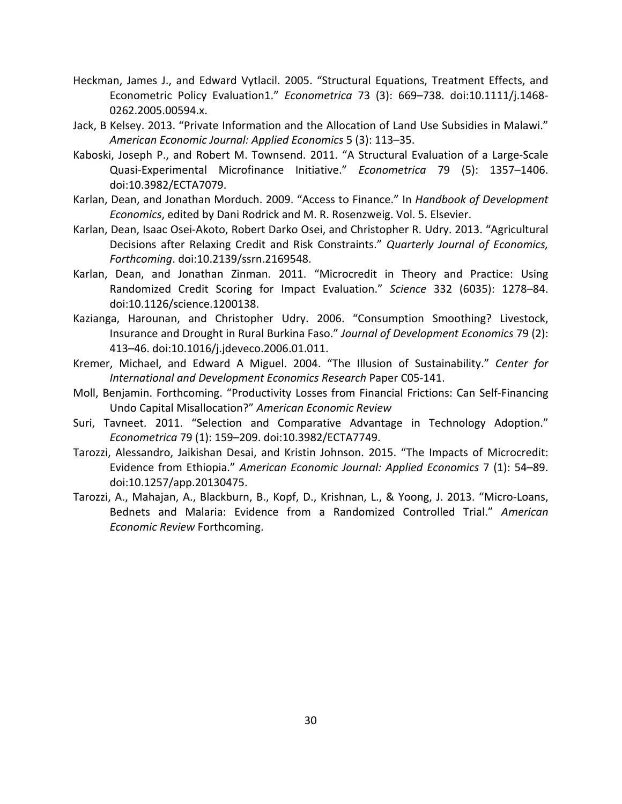- Heckman, James J., and Edward Vytlacil. 2005. "Structural Equations, Treatment Effects, and Econometric Policy Evaluation1." *Econometrica* 73 (3): 669–738. doi:10.1111/j.1468‐ 0262.2005.00594.x.
- Jack, B Kelsey. 2013. "Private Information and the Allocation of Land Use Subsidies in Malawi." *American Economic Journal: Applied Economics* 5 (3): 113–35.
- Kaboski, Joseph P., and Robert M. Townsend. 2011. "A Structural Evaluation of a Large‐Scale Quasi‐Experimental Microfinance Initiative." *Econometrica* 79 (5): 1357–1406. doi:10.3982/ECTA7079.
- Karlan, Dean, and Jonathan Morduch. 2009. "Access to Finance." In *Handbook of Development Economics*, edited by Dani Rodrick and M. R. Rosenzweig. Vol. 5. Elsevier.
- Karlan, Dean, Isaac Osei‐Akoto, Robert Darko Osei, and Christopher R. Udry. 2013. "Agricultural Decisions after Relaxing Credit and Risk Constraints." *Quarterly Journal of Economics, Forthcoming*. doi:10.2139/ssrn.2169548.
- Karlan, Dean, and Jonathan Zinman. 2011. "Microcredit in Theory and Practice: Using Randomized Credit Scoring for Impact Evaluation." *Science* 332 (6035): 1278–84. doi:10.1126/science.1200138.
- Kazianga, Harounan, and Christopher Udry. 2006. "Consumption Smoothing? Livestock, Insurance and Drought in Rural Burkina Faso." *Journal of Development Economics* 79 (2): 413–46. doi:10.1016/j.jdeveco.2006.01.011.
- Kremer, Michael, and Edward A Miguel. 2004. "The Illusion of Sustainability." *Center for International and Development Economics Research* Paper C05‐141.
- Moll, Benjamin. Forthcoming. "Productivity Losses from Financial Frictions: Can Self‐Financing Undo Capital Misallocation?" *American Economic Review*
- Suri, Tavneet. 2011. "Selection and Comparative Advantage in Technology Adoption." *Econometrica* 79 (1): 159–209. doi:10.3982/ECTA7749.
- Tarozzi, Alessandro, Jaikishan Desai, and Kristin Johnson. 2015. "The Impacts of Microcredit: Evidence from Ethiopia." *American Economic Journal: Applied Economics* 7 (1): 54–89. doi:10.1257/app.20130475.
- Tarozzi, A., Mahajan, A., Blackburn, B., Kopf, D., Krishnan, L., & Yoong, J. 2013. "Micro‐Loans, Bednets and Malaria: Evidence from a Randomized Controlled Trial." *American Economic Review* Forthcoming.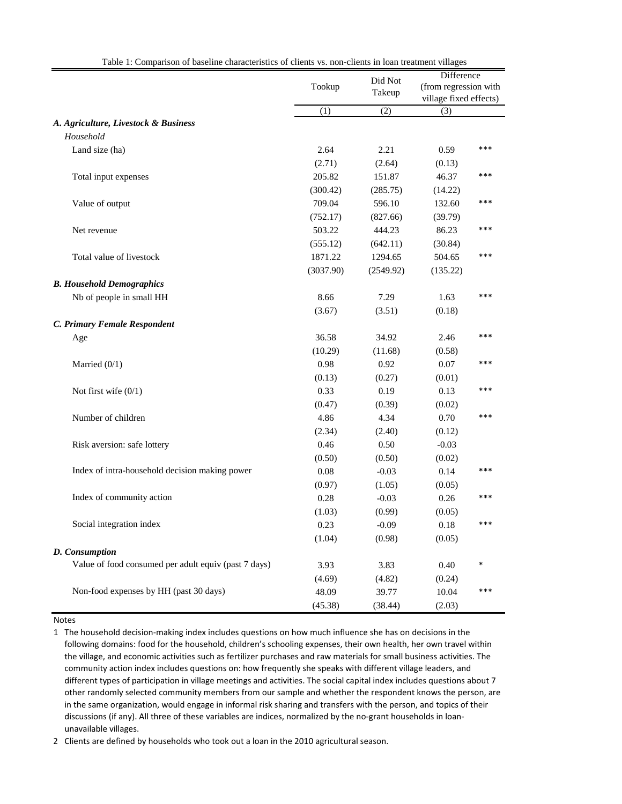| Difference<br>Did Not<br>Tookup<br>(from regression with<br>Takeup<br>village fixed effects)<br>(1)<br>(2)<br>(3)<br>A. Agriculture, Livestock & Business<br>Household<br>***<br>2.21<br>Land size (ha)<br>2.64<br>0.59<br>(2.71)<br>(2.64)<br>(0.13)<br>205.82<br>151.87<br>46.37<br>***<br>Total input expenses<br>(300.42)<br>(285.75)<br>(14.22)<br>709.04<br>596.10<br>***<br>Value of output<br>132.60<br>(752.17)<br>(827.66)<br>(39.79) |
|-------------------------------------------------------------------------------------------------------------------------------------------------------------------------------------------------------------------------------------------------------------------------------------------------------------------------------------------------------------------------------------------------------------------------------------------------|
|                                                                                                                                                                                                                                                                                                                                                                                                                                                 |
|                                                                                                                                                                                                                                                                                                                                                                                                                                                 |
|                                                                                                                                                                                                                                                                                                                                                                                                                                                 |
|                                                                                                                                                                                                                                                                                                                                                                                                                                                 |
|                                                                                                                                                                                                                                                                                                                                                                                                                                                 |
|                                                                                                                                                                                                                                                                                                                                                                                                                                                 |
|                                                                                                                                                                                                                                                                                                                                                                                                                                                 |
|                                                                                                                                                                                                                                                                                                                                                                                                                                                 |
|                                                                                                                                                                                                                                                                                                                                                                                                                                                 |
|                                                                                                                                                                                                                                                                                                                                                                                                                                                 |
|                                                                                                                                                                                                                                                                                                                                                                                                                                                 |
| 503.22<br>444.23<br>86.23<br>***<br>Net revenue                                                                                                                                                                                                                                                                                                                                                                                                 |
| (555.12)<br>(642.11)<br>(30.84)                                                                                                                                                                                                                                                                                                                                                                                                                 |
| ***<br>1871.22<br>1294.65<br>504.65<br>Total value of livestock                                                                                                                                                                                                                                                                                                                                                                                 |
| (3037.90)<br>(2549.92)<br>(135.22)                                                                                                                                                                                                                                                                                                                                                                                                              |
| <b>B.</b> Household Demographics                                                                                                                                                                                                                                                                                                                                                                                                                |
| 8.66<br>***<br>Nb of people in small HH<br>7.29<br>1.63                                                                                                                                                                                                                                                                                                                                                                                         |
| (3.67)<br>(3.51)<br>(0.18)                                                                                                                                                                                                                                                                                                                                                                                                                      |
| C. Primary Female Respondent                                                                                                                                                                                                                                                                                                                                                                                                                    |
| 36.58<br>34.92<br>***<br>2.46<br>Age                                                                                                                                                                                                                                                                                                                                                                                                            |
| (10.29)<br>(11.68)<br>(0.58)                                                                                                                                                                                                                                                                                                                                                                                                                    |
| 0.98<br>0.92<br>$0.07\,$<br>***<br>Married $(0/1)$                                                                                                                                                                                                                                                                                                                                                                                              |
| (0.13)<br>(0.27)<br>(0.01)                                                                                                                                                                                                                                                                                                                                                                                                                      |
| 0.33<br>0.19<br>***<br>Not first wife $(0/1)$<br>0.13                                                                                                                                                                                                                                                                                                                                                                                           |
| (0.47)<br>(0.39)<br>(0.02)                                                                                                                                                                                                                                                                                                                                                                                                                      |
| 4.86<br>4.34<br>0.70<br>***<br>Number of children                                                                                                                                                                                                                                                                                                                                                                                               |
| (2.34)<br>(2.40)<br>(0.12)                                                                                                                                                                                                                                                                                                                                                                                                                      |
| 0.46<br>0.50<br>Risk aversion: safe lottery<br>$-0.03$                                                                                                                                                                                                                                                                                                                                                                                          |
| (0.50)<br>(0.50)<br>(0.02)                                                                                                                                                                                                                                                                                                                                                                                                                      |
| Index of intra-household decision making power<br>0.08<br>$-0.03$<br>0.14<br>***                                                                                                                                                                                                                                                                                                                                                                |
| (0.97)<br>(1.05)<br>(0.05)                                                                                                                                                                                                                                                                                                                                                                                                                      |
| Index of community action<br>0.28<br>0.26<br>$-0.03$<br>***                                                                                                                                                                                                                                                                                                                                                                                     |
| (1.03)<br>(0.99)<br>(0.05)                                                                                                                                                                                                                                                                                                                                                                                                                      |
| Social integration index<br>0.23<br>$-0.09$<br>0.18<br>***                                                                                                                                                                                                                                                                                                                                                                                      |
| (1.04)<br>(0.98)<br>(0.05)                                                                                                                                                                                                                                                                                                                                                                                                                      |
| D. Consumption                                                                                                                                                                                                                                                                                                                                                                                                                                  |
| Value of food consumed per adult equiv (past 7 days)<br>3.83<br>$\ast$<br>3.93<br>0.40                                                                                                                                                                                                                                                                                                                                                          |
| (4.82)<br>(4.69)<br>(0.24)                                                                                                                                                                                                                                                                                                                                                                                                                      |
| Non-food expenses by HH (past 30 days)<br>48.09<br>39.77<br>***<br>10.04                                                                                                                                                                                                                                                                                                                                                                        |
| (38.44)<br>(45.38)<br>(2.03)                                                                                                                                                                                                                                                                                                                                                                                                                    |

Table 1: Comparison of baseline characteristics of clients vs. non-clients in loan treatment villages

Notes

1 The household decision-making index includes questions on how much influence she has on decisions in the following domains: food for the household, children's schooling expenses, their own health, her own travel within the village, and economic activities such as fertilizer purchases and raw materials for small business activities. The community action index includes questions on: how frequently she speaks with different village leaders, and different types of participation in village meetings and activities. The social capital index includes questions about 7 other randomly selected community members from our sample and whether the respondent knows the person, are in the same organization, would engage in informal risk sharing and transfers with the person, and topics of their discussions (if any). All three of these variables are indices, normalized by the no-grant households in loanunavailable villages.

2 Clients are defined by households who took out a loan in the 2010 agricultural season.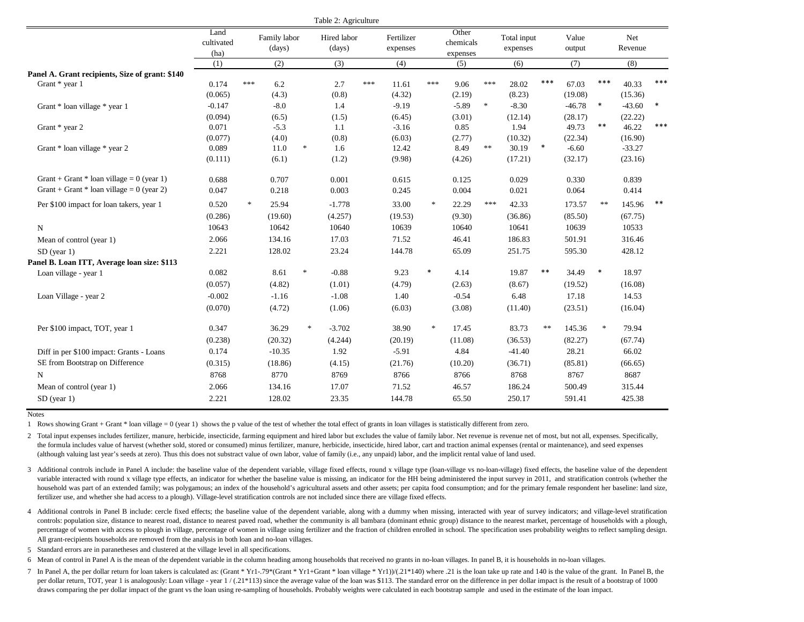|                                                 |                            |        |                        |                                   | Table 2: Agriculture  |     |                        |                                   |                                |        |                         |        |                 |        |                |        |
|-------------------------------------------------|----------------------------|--------|------------------------|-----------------------------------|-----------------------|-----|------------------------|-----------------------------------|--------------------------------|--------|-------------------------|--------|-----------------|--------|----------------|--------|
|                                                 | Land<br>cultivated<br>(ha) |        | Family labor<br>(days) |                                   | Hired labor<br>(days) |     | Fertilizer<br>expenses |                                   | Other<br>chemicals<br>expenses |        | Total input<br>expenses |        | Value<br>output |        | Net<br>Revenue |        |
|                                                 | (1)                        |        | (2)                    |                                   | (3)                   |     | (4)                    |                                   | (5)                            |        | (6)                     |        | (7)             |        | (8)            |        |
| Panel A. Grant recipients, Size of grant: \$140 |                            |        |                        |                                   |                       |     |                        |                                   |                                |        |                         |        |                 |        |                |        |
| Grant * year 1                                  | 0.174                      | ***    | 6.2                    |                                   | 2.7                   | *** | 11.61                  | ***                               | 9.06                           | ***    | 28.02                   | ***    | 67.03           | ***    | 40.33          | ***    |
|                                                 | (0.065)                    |        | (4.3)                  |                                   | (0.8)                 |     | (4.32)                 |                                   | (2.19)                         |        | (8.23)                  |        | (19.08)         |        | (15.36)        |        |
| Grant * loan village * year 1                   | $-0.147$                   |        | $-8.0$                 |                                   | 1.4                   |     | $-9.19$                |                                   | $-5.89$                        | $\ast$ | $-8.30$                 |        | $-46.78$        | $\ast$ | $-43.60$       | $\ast$ |
|                                                 | (0.094)                    |        | (6.5)                  |                                   | (1.5)                 |     | (6.45)                 |                                   | (3.01)                         |        | (12.14)                 |        | (28.17)         |        | (22.22)        |        |
| Grant * year 2                                  | 0.071                      |        | $-5.3$                 |                                   | 1.1                   |     | $-3.16$                |                                   | 0.85                           |        | 1.94                    |        | 49.73           | $***$  | 46.22          | $***$  |
|                                                 | (0.077)                    |        | (4.0)                  |                                   | (0.8)                 |     | (6.03)                 |                                   | (2.77)                         |        | (10.32)                 |        | (22.34)         |        | (16.90)        |        |
| Grant * loan village * year 2                   | 0.089                      |        | 11.0                   | $\frac{1}{2}$                     | 1.6                   |     | 12.42                  |                                   | 8.49                           | $**$   | 30.19                   | $\ast$ | $-6.60$         |        | $-33.27$       |        |
|                                                 | (0.111)                    |        | (6.1)                  |                                   | (1.2)                 |     | (9.98)                 |                                   | (4.26)                         |        | (17.21)                 |        | (32.17)         |        | (23.16)        |        |
| Grant + Grant * loan village = $0$ (year 1)     | 0.688                      |        | 0.707                  |                                   | 0.001                 |     | 0.615                  |                                   | 0.125                          |        | 0.029                   |        | 0.330           |        | 0.839          |        |
| Grant + Grant * loan village = $0$ (year 2)     | 0.047                      |        | 0.218                  |                                   | 0.003                 |     | 0.245                  |                                   | 0.004                          |        | 0.021                   |        | 0.064           |        | 0.414          |        |
| Per \$100 impact for loan takers, year 1        | 0.520                      | $\ast$ | 25.94                  |                                   | $-1.778$              |     | 33.00                  | $\frac{d\mathbf{x}}{d\mathbf{x}}$ | 22.29                          | ***    | 42.33                   |        | 173.57          | $\ast$ | 145.96         | $***$  |
|                                                 | (0.286)                    |        | (19.60)                |                                   | (4.257)               |     | (19.53)                |                                   | (9.30)                         |        | (36.86)                 |        | (85.50)         |        | (67.75)        |        |
| $\mathbf N$                                     | 10643                      |        | 10642                  |                                   | 10640                 |     | 10639                  |                                   | 10640                          |        | 10641                   |        | 10639           |        | 10533          |        |
| Mean of control (year 1)                        | 2.066                      |        | 134.16                 |                                   | 17.03                 |     | 71.52                  |                                   | 46.41                          |        | 186.83                  |        | 501.91          |        | 316.46         |        |
| $SD$ (year 1)                                   | 2.221                      |        | 128.02                 |                                   | 23.24                 |     | 144.78                 |                                   | 65.09                          |        | 251.75                  |        | 595.30          |        | 428.12         |        |
| Panel B. Loan ITT, Average loan size: \$113     |                            |        |                        |                                   |                       |     |                        |                                   |                                |        |                         |        |                 |        |                |        |
| Loan village - year 1                           | 0.082                      |        | 8.61                   | $\frac{1}{2}$                     | $-0.88$               |     | 9.23                   | $\ast$                            | 4.14                           |        | 19.87                   | $***$  | 34.49           | $\ast$ | 18.97          |        |
|                                                 | (0.057)                    |        | (4.82)                 |                                   | (1.01)                |     | (4.79)                 |                                   | (2.63)                         |        | (8.67)                  |        | (19.52)         |        | (16.08)        |        |
| Loan Village - year 2                           | $-0.002$                   |        | $-1.16$                |                                   | $-1.08$               |     | 1.40                   |                                   | $-0.54$                        |        | 6.48                    |        | 17.18           |        | 14.53          |        |
|                                                 | (0.070)                    |        | (4.72)                 |                                   | (1.06)                |     | (6.03)                 |                                   | (3.08)                         |        | (11.40)                 |        | (23.51)         |        | (16.04)        |        |
| Per \$100 impact, TOT, year 1                   | 0.347                      |        | 36.29                  | $\frac{d\mathbf{x}}{d\mathbf{x}}$ | $-3.702$              |     | 38.90                  | $\approx$                         | 17.45                          |        | 83.73                   | **     | 145.36          | $\ast$ | 79.94          |        |
|                                                 | (0.238)                    |        | (20.32)                |                                   | (4.244)               |     | (20.19)                |                                   | (11.08)                        |        | (36.53)                 |        | (82.27)         |        | (67.74)        |        |
| Diff in per \$100 impact: Grants - Loans        | 0.174                      |        | $-10.35$               |                                   | 1.92                  |     | $-5.91$                |                                   | 4.84                           |        | $-41.40$                |        | 28.21           |        | 66.02          |        |
| SE from Bootstrap on Difference                 | (0.315)                    |        | (18.86)                |                                   | (4.15)                |     | (21.76)                |                                   | (10.20)                        |        | (36.71)                 |        | (85.81)         |        | (66.65)        |        |
| $\mathbf N$                                     | 8768                       |        | 8770                   |                                   | 8769                  |     | 8766                   |                                   | 8766                           |        | 8768                    |        | 8767            |        | 8687           |        |
| Mean of control (year 1)                        | 2.066                      |        | 134.16                 |                                   | 17.07                 |     | 71.52                  |                                   | 46.57                          |        | 186.24                  |        | 500.49          |        | 315.44         |        |
| $SD$ (year 1)                                   | 2.221                      |        | 128.02                 |                                   | 23.35                 |     | 144.78                 |                                   | 65.50                          |        | 250.17                  |        | 591.41          |        | 425.38         |        |
|                                                 |                            |        |                        |                                   |                       |     |                        |                                   |                                |        |                         |        |                 |        |                |        |

1 Rows showing Grant + Grant \* loan village = 0 (year 1) shows the p value of the test of whether the total effect of grants in loan villages is statistically different from zero.

2 Total input expenses includes fertilizer, manure, herbicide, insecticide, farming equipment and hired labor but excludes the value of family labor. Net revenue is revenue net of most, but not all, expenses. Specifically, the formula includes value of harvest (whether sold, stored or consumed) minus fertilizer, manure, herbicide, insecticide, hired labor, cart and traction animal expenses (rental or maintenance), and seed expenses (although valuing last year's seeds at zero). Thus this does not substract value of own labor, value of family (i.e., any unpaid) labor, and the implicit rental value of land used.

3 Additional controls include in Panel A include: the baseline value of the dependent variable, village fixed effects, round x village type (loan-village vs no-loan-village) fixed effects, the baseline value of the depende variable interacted with round x village type effects, an indicator for whether the baseline value is missing, an indicator for the HH being administered the input survey in 2011, and stratification controls (whether the household was part of an extended family; was polygamous; an index of the household's agricultural assets and other assets; per capita food consumption; and for the primary female respondent her baseline: land size, fertilizer use, and whether she had access to a plough). Village-level stratification controls are not included since there are village fixed effects.

4 Additional controls in Panel B include: cercle fixed effects; the baseline value of the dependent variable, along with a dummy when missing, interacted with year of survey indicators; and village-level stratification controls: population size, distance to nearest road, distance to nearest paved road, whether the community is all bambara (dominant ethnic group) distance to the nearest market, percentage of households with a plough, percentage of women with access to plough in village, percentage of women in village using fertilizer and the fraction of children enrolled in school. The specification uses probability weights to reflect sampling design. All grant-recipients households are removed from the analysis in both loan and no-loan villages.

5 Standard errors are in paranetheses and clustered at the village level in all specifications.

6 Mean of control in Panel A is the mean of the dependent variable in the column heading among households that received no grants in no-loan villages. In panel B, it is households in no-loan villages.

7 In Panel A, the per dollar return for loan takers is calculated as: (Grant \* Yr1-.79\*(Grant \* Yr1+Grant \* loan village \* Yr1))/(.21\*140) where .21 is the loan take up rate and 140 is the value of the grant. In Panel B, the per dollar return, TOT, year 1 is analogously: Loan village - year  $1/(.21*113)$  since the average value of the loan was \$113. The standard error on the difference in per dollar impact is the result of a bootstrap of 1000 draws comparing the per dollar impact of the grant vs the loan using re-sampling of households. Probably weights were calculated in each bootstrap sample and used in the estimate of the loan impact.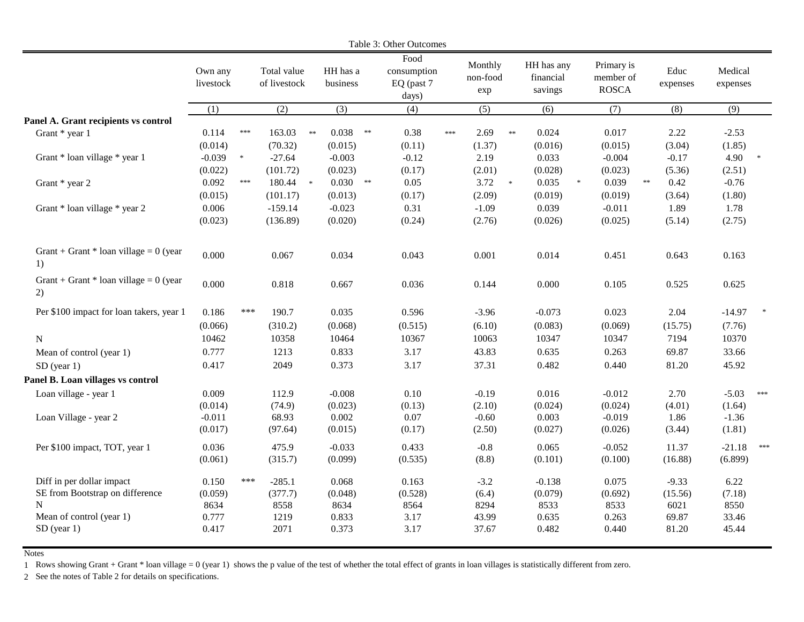|                                                |                      |                |                             |            |                      |            | Table 3: Other Outcomes                    |     |                            |            |                                    |                                         |            |                  |                     |       |
|------------------------------------------------|----------------------|----------------|-----------------------------|------------|----------------------|------------|--------------------------------------------|-----|----------------------------|------------|------------------------------------|-----------------------------------------|------------|------------------|---------------------|-------|
|                                                | Own any<br>livestock |                | Total value<br>of livestock |            | HH has a<br>business |            | Food<br>consumption<br>EQ (past 7<br>days) |     | Monthly<br>non-food<br>exp |            | HH has any<br>financial<br>savings | Primary is<br>member of<br><b>ROSCA</b> |            | Educ<br>expenses | Medical<br>expenses |       |
|                                                | (1)                  |                | (2)                         |            | (3)                  |            | (4)                                        |     | (5)                        |            | (6)                                | (7)                                     |            | (8)              | (9)                 |       |
| Panel A. Grant recipients vs control           |                      |                |                             |            |                      |            |                                            |     |                            |            |                                    |                                         |            |                  |                     |       |
| Grant * year 1                                 | 0.114                | $***$          | 163.03                      | $\ast\ast$ | 0.038                | $\ast\ast$ | 0.38                                       | *** | 2.69                       | $\ast\ast$ | 0.024                              | 0.017                                   |            | 2.22             | $-2.53$             |       |
|                                                | (0.014)              |                | (70.32)                     |            | (0.015)              |            | (0.11)                                     |     | (1.37)                     |            | (0.016)                            | (0.015)                                 |            | (3.04)           | (1.85)              |       |
| Grant * loan village * year 1                  | $-0.039$             | $\ast$         | $-27.64$                    |            | $-0.003$             |            | $-0.12$                                    |     | 2.19                       |            | 0.033                              | $-0.004$                                |            | $-0.17$          | 4.90                |       |
|                                                | (0.022)              |                | (101.72)                    |            | (0.023)              |            | (0.17)                                     |     | (2.01)                     |            | (0.028)                            | (0.023)                                 |            | (5.36)           | (2.51)              |       |
| Grant * year 2                                 | 0.092                | $***$          | 180.44 *                    |            | $0.030$ **           |            | 0.05                                       |     | 3.72                       | $*$        | 0.035<br>$\ast$                    | 0.039                                   | $\ast\ast$ | 0.42             | $-0.76$             |       |
|                                                | (0.015)              |                | (101.17)                    |            | (0.013)              |            | (0.17)                                     |     | (2.09)                     |            | (0.019)                            | (0.019)                                 |            | (3.64)           | (1.80)              |       |
| Grant * loan village * year 2                  | 0.006                |                | $-159.14$                   |            | $-0.023$             |            | 0.31                                       |     | $-1.09$                    |            | 0.039                              | $-0.011$                                |            | 1.89             | 1.78                |       |
|                                                | (0.023)              |                | (136.89)                    |            | (0.020)              |            | (0.24)                                     |     | (2.76)                     |            | (0.026)                            | (0.025)                                 |            | (5.14)           | (2.75)              |       |
| Grant + Grant * loan village = $0$ (year<br>1) | 0.000                |                | 0.067                       |            | 0.034                |            | 0.043                                      |     | 0.001                      |            | 0.014                              | 0.451                                   |            | 0.643            | 0.163               |       |
| Grant + Grant * loan village = $0$ (year<br>2) | 0.000                |                | 0.818                       |            | 0.667                |            | 0.036                                      |     | 0.144                      |            | 0.000                              | 0.105                                   |            | 0.525            | 0.625               |       |
| Per \$100 impact for loan takers, year 1       | 0.186                | $***$          | 190.7                       |            | 0.035                |            | 0.596                                      |     | $-3.96$                    |            | $-0.073$                           | 0.023                                   |            | 2.04             | $-14.97$            |       |
|                                                | (0.066)              |                | (310.2)                     |            | (0.068)              |            | (0.515)                                    |     | (6.10)                     |            | (0.083)                            | (0.069)                                 |            | (15.75)          | (7.76)              |       |
| ${\bf N}$                                      | 10462                |                | 10358                       |            | 10464                |            | 10367                                      |     | 10063                      |            | 10347                              | 10347                                   |            | 7194             | 10370               |       |
| Mean of control (year 1)                       | 0.777                |                | 1213                        |            | 0.833                |            | 3.17                                       |     | 43.83                      |            | 0.635                              | 0.263                                   |            | 69.87            | 33.66               |       |
| $SD$ (year 1)                                  | 0.417                |                | 2049                        |            | 0.373                |            | 3.17                                       |     | 37.31                      |            | 0.482                              | 0.440                                   |            | 81.20            | 45.92               |       |
| Panel B. Loan villages vs control              |                      |                |                             |            |                      |            |                                            |     |                            |            |                                    |                                         |            |                  |                     |       |
| Loan village - year 1                          | 0.009                |                | 112.9                       |            | $-0.008$             |            | 0.10                                       |     | $-0.19$                    |            | 0.016                              | $-0.012$                                |            | 2.70             | $-5.03$             | $***$ |
|                                                | (0.014)              |                | (74.9)                      |            | (0.023)              |            | (0.13)                                     |     | (2.10)                     |            | (0.024)                            | (0.024)                                 |            | (4.01)           | (1.64)              |       |
| Loan Village - year 2                          | $-0.011$             |                | 68.93                       |            | 0.002                |            | 0.07                                       |     | $-0.60$                    |            | 0.003                              | $-0.019$                                |            | 1.86             | $-1.36$             |       |
|                                                | (0.017)              |                | (97.64)                     |            | (0.015)              |            | (0.17)                                     |     | (2.50)                     |            | (0.027)                            | (0.026)                                 |            | (3.44)           | (1.81)              |       |
| Per \$100 impact, TOT, year 1                  | 0.036                |                | 475.9                       |            | $-0.033$             |            | 0.433                                      |     | $-0.8$                     |            | 0.065                              | $-0.052$                                |            | 11.37            | $-21.18$            | $***$ |
|                                                | (0.061)              |                | (315.7)                     |            | (0.099)              |            | (0.535)                                    |     | (8.8)                      |            | (0.101)                            | (0.100)                                 |            | (16.88)          | (6.899)             |       |
|                                                |                      |                |                             |            |                      |            |                                            |     |                            |            |                                    |                                         |            |                  |                     |       |
| Diff in per dollar impact                      | 0.150                | $\ast\ast\ast$ | $-285.1$                    |            | 0.068                |            | 0.163                                      |     | $-3.2$                     |            | $-0.138$                           | 0.075                                   |            | $-9.33$          | 6.22                |       |
| SE from Bootstrap on difference                | (0.059)              |                | (377.7)                     |            | (0.048)              |            | (0.528)                                    |     | (6.4)                      |            | (0.079)                            | (0.692)                                 |            | (15.56)          | (7.18)              |       |
| N                                              | 8634                 |                | 8558                        |            | 8634                 |            | 8564                                       |     | 8294                       |            | 8533                               | 8533                                    |            | 6021             | 8550                |       |
| Mean of control (year 1)                       | 0.777                |                | 1219                        |            | 0.833                |            | 3.17                                       |     | 43.99                      |            | 0.635                              | 0.263                                   |            | 69.87            | 33.46               |       |
| $SD$ (year 1)                                  | 0.417                |                | 2071                        |            | 0.373                |            | 3.17                                       |     | 37.67                      |            | 0.482                              | 0.440                                   |            | 81.20            | 45.44               |       |
|                                                |                      |                |                             |            |                      |            |                                            |     |                            |            |                                    |                                         |            |                  |                     |       |

1 Rows showing Grant + Grant \* loan village = 0 (year 1) shows the p value of the test of whether the total effect of grants in loan villages is statistically different from zero.

2 See the notes of Table 2 for details on specifications.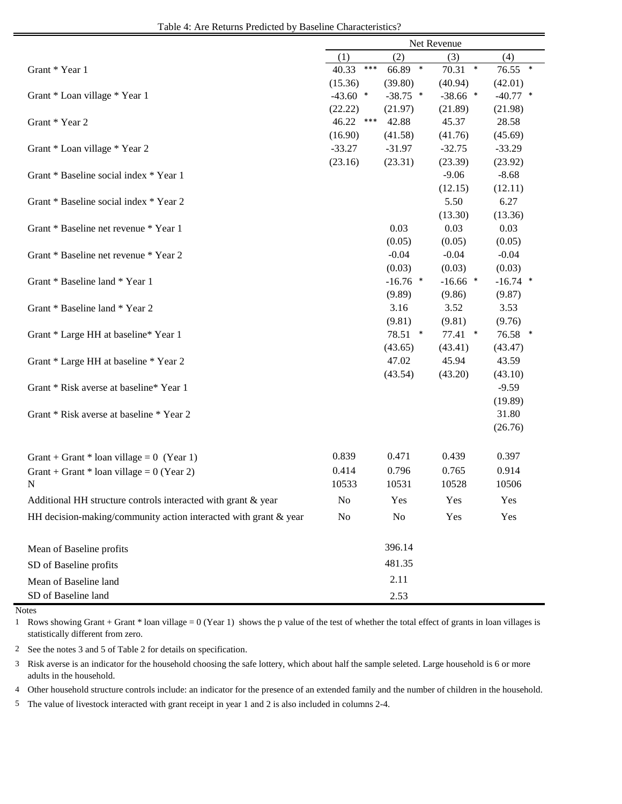| Table 4: Are Returns Predicted by Baseline Characteristics? |  |
|-------------------------------------------------------------|--|
|-------------------------------------------------------------|--|

|                                                                  | Net Revenue |       |                |                  |                    |  |  |  |
|------------------------------------------------------------------|-------------|-------|----------------|------------------|--------------------|--|--|--|
|                                                                  | (1)         |       | (2)            | (3)              | (4)                |  |  |  |
| Grant * Year 1                                                   | 40.33       | $***$ | 66.89 *        | $70.31$ *        | 76.55 *            |  |  |  |
|                                                                  | (15.36)     |       | (39.80)        | (40.94)          | (42.01)            |  |  |  |
| Grant * Loan village * Year 1                                    | $-43.60$ *  |       | $-38.75$ *     | $-38.66$ *       | $-40.77$ *         |  |  |  |
|                                                                  | (22.22)     |       | (21.97)        | (21.89)          | (21.98)            |  |  |  |
| Grant * Year 2                                                   | 46.22       | ***   | 42.88          | 45.37            | 28.58              |  |  |  |
|                                                                  | (16.90)     |       | (41.58)        | (41.76)          | (45.69)            |  |  |  |
| Grant * Loan village * Year 2                                    | $-33.27$    |       | $-31.97$       | $-32.75$         | $-33.29$           |  |  |  |
|                                                                  | (23.16)     |       | (23.31)        | (23.39)          | (23.92)            |  |  |  |
| Grant * Baseline social index * Year 1                           |             |       |                | $-9.06$          | $-8.68$            |  |  |  |
|                                                                  |             |       |                | (12.15)          | (12.11)            |  |  |  |
| Grant * Baseline social index * Year 2                           |             |       |                | 5.50             | 6.27               |  |  |  |
|                                                                  |             |       |                | (13.30)          | (13.36)            |  |  |  |
| Grant * Baseline net revenue * Year 1                            |             |       | 0.03           | 0.03             | 0.03               |  |  |  |
|                                                                  |             |       | (0.05)         | (0.05)           | (0.05)             |  |  |  |
| Grant * Baseline net revenue * Year 2                            |             |       | $-0.04$        | $-0.04$          | $-0.04$            |  |  |  |
|                                                                  |             |       | (0.03)         | (0.03)           | (0.03)             |  |  |  |
| Grant * Baseline land * Year 1                                   |             |       | $-16.76$ *     | $-16.66$ *       | $-16.74$ *         |  |  |  |
|                                                                  |             |       | (9.89)         | (9.86)           | (9.87)             |  |  |  |
| Grant * Baseline land * Year 2                                   |             |       | 3.16           | 3.52             | 3.53               |  |  |  |
|                                                                  |             |       | (9.81)         | (9.81)           | (9.76)             |  |  |  |
| Grant * Large HH at baseline * Year 1                            |             |       | 78.51 *        | $77.41$ *        | 76.58 *            |  |  |  |
|                                                                  |             |       | (43.65)        | (43.41)          | (43.47)            |  |  |  |
| Grant * Large HH at baseline * Year 2                            |             |       | 47.02          | 45.94<br>(43.20) | 43.59              |  |  |  |
| Grant * Risk averse at baseline* Year 1                          |             |       | (43.54)        |                  | (43.10)<br>$-9.59$ |  |  |  |
|                                                                  |             |       |                |                  | (19.89)            |  |  |  |
| Grant * Risk averse at baseline * Year 2                         |             |       |                |                  | 31.80              |  |  |  |
|                                                                  |             |       |                |                  | (26.76)            |  |  |  |
|                                                                  |             |       |                |                  |                    |  |  |  |
|                                                                  | 0.839       |       | 0.471          | 0.439            | 0.397              |  |  |  |
| Grant + Grant * loan village = $0$ (Year 1)                      |             |       |                |                  |                    |  |  |  |
| Grant + Grant * loan village = $0$ (Year 2)                      | 0.414       |       | 0.796          | 0.765            | 0.914              |  |  |  |
| N                                                                | 10533       |       | 10531          | 10528            | 10506              |  |  |  |
| Additional HH structure controls interacted with grant $\&$ year | No          |       | Yes            | Yes              | Yes                |  |  |  |
| HH decision-making/community action interacted with grant & year | No          |       | N <sub>o</sub> | Yes              | Yes                |  |  |  |
|                                                                  |             |       | 396.14         |                  |                    |  |  |  |
| Mean of Baseline profits                                         |             |       |                |                  |                    |  |  |  |
| SD of Baseline profits                                           |             |       | 481.35         |                  |                    |  |  |  |
| Mean of Baseline land                                            |             |       | 2.11           |                  |                    |  |  |  |
| SD of Baseline land                                              |             |       | 2.53           |                  |                    |  |  |  |

Notes

1 Rows showing Grant + Grant \* loan village = 0 (Year 1) shows the p value of the test of whether the total effect of grants in loan villages is statistically different from zero.

2 See the notes 3 and 5 of Table 2 for details on specification.

3 Risk averse is an indicator for the household choosing the safe lottery, which about half the sample seleted. Large household is 6 or more adults in the household.

4 Other household structure controls include: an indicator for the presence of an extended family and the number of children in the household.

5 The value of livestock interacted with grant receipt in year 1 and 2 is also included in columns 2-4.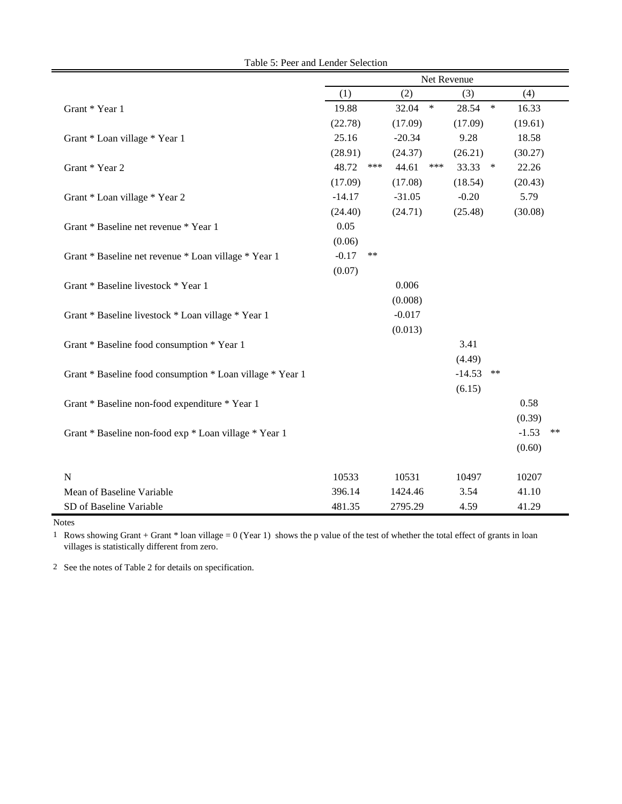|                                                           |          |      |          |        | Net Revenue |        |         |    |
|-----------------------------------------------------------|----------|------|----------|--------|-------------|--------|---------|----|
|                                                           | (1)      |      | (2)      |        | (3)         |        | (4)     |    |
| Grant * Year 1                                            | 19.88    |      | 32.04    | $\ast$ | 28.54       | $\ast$ | 16.33   |    |
|                                                           | (22.78)  |      | (17.09)  |        | (17.09)     |        | (19.61) |    |
| Grant * Loan village * Year 1                             | 25.16    |      | $-20.34$ |        | 9.28        |        | 18.58   |    |
|                                                           | (28.91)  |      | (24.37)  |        | (26.21)     |        | (30.27) |    |
| Grant * Year 2                                            | 48.72    | ***  | 44.61    | ***    | 33.33       | $\ast$ | 22.26   |    |
|                                                           | (17.09)  |      | (17.08)  |        | (18.54)     |        | (20.43) |    |
| Grant * Loan village * Year 2                             | $-14.17$ |      | $-31.05$ |        | $-0.20$     |        | 5.79    |    |
|                                                           | (24.40)  |      | (24.71)  |        | (25.48)     |        | (30.08) |    |
| Grant * Baseline net revenue * Year 1                     | 0.05     |      |          |        |             |        |         |    |
|                                                           | (0.06)   |      |          |        |             |        |         |    |
| Grant * Baseline net revenue * Loan village * Year 1      | $-0.17$  | $**$ |          |        |             |        |         |    |
|                                                           | (0.07)   |      |          |        |             |        |         |    |
| Grant * Baseline livestock * Year 1                       |          |      | 0.006    |        |             |        |         |    |
|                                                           |          |      | (0.008)  |        |             |        |         |    |
| Grant * Baseline livestock * Loan village * Year 1        |          |      | $-0.017$ |        |             |        |         |    |
|                                                           |          |      | (0.013)  |        |             |        |         |    |
| Grant * Baseline food consumption * Year 1                |          |      |          |        | 3.41        |        |         |    |
|                                                           |          |      |          |        | (4.49)      |        |         |    |
| Grant * Baseline food consumption * Loan village * Year 1 |          |      |          |        | $-14.53$    | $***$  |         |    |
|                                                           |          |      |          |        | (6.15)      |        |         |    |
| Grant * Baseline non-food expenditure * Year 1            |          |      |          |        |             |        | 0.58    |    |
|                                                           |          |      |          |        |             |        | (0.39)  |    |
| Grant * Baseline non-food exp * Loan village * Year 1     |          |      |          |        |             |        | $-1.53$ | ** |
|                                                           |          |      |          |        |             |        | (0.60)  |    |
| $\mathbf N$                                               | 10533    |      | 10531    |        | 10497       |        | 10207   |    |
| Mean of Baseline Variable                                 | 396.14   |      | 1424.46  |        | 3.54        |        | 41.10   |    |
| SD of Baseline Variable                                   | 481.35   |      | 2795.29  |        | 4.59        |        | 41.29   |    |

Table 5: Peer and Lender Selection

Notes and the set of the set of the set of the set of the set of the set of the set of the set of the set of the set of the set of the set of the set of the set of the set of the set of the set of the set of the set of the

 $\blacksquare$ 

1 Rows showing Grant + Grant \* loan village = 0 (Year 1) shows the p value of the test of whether the total effect of grants in loan villages is statistically different from zero.

2 See the notes of Table 2 for details on specification.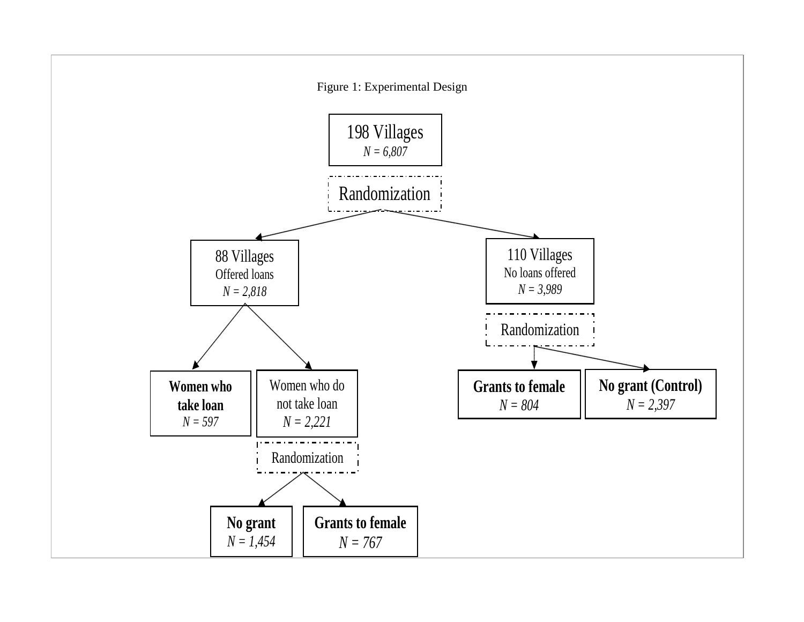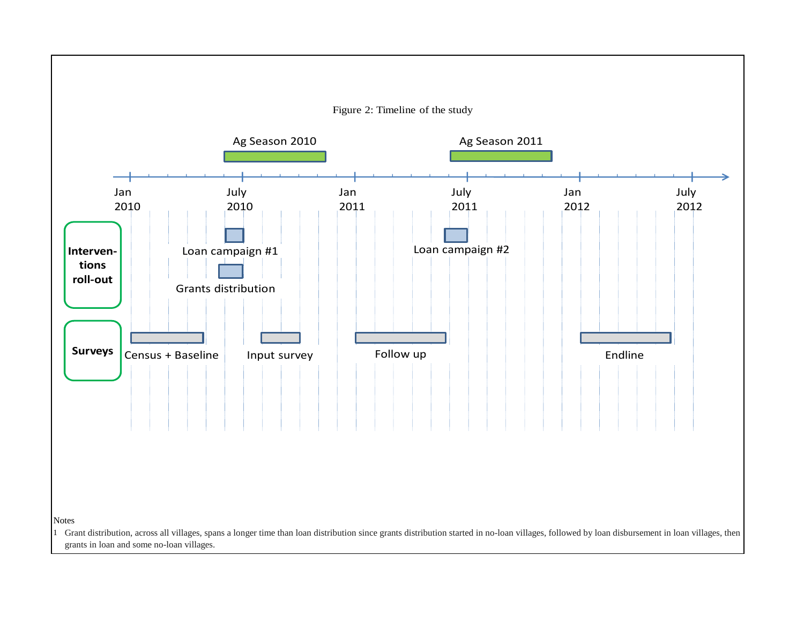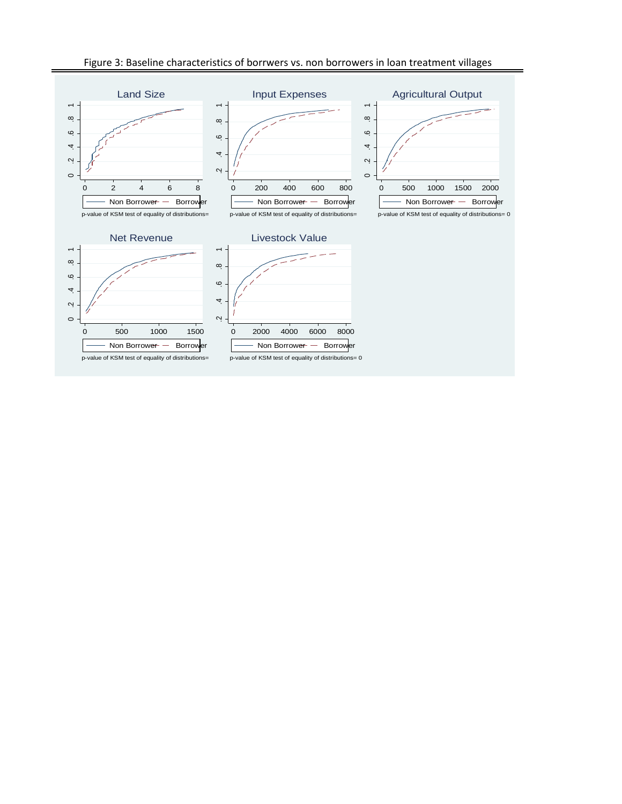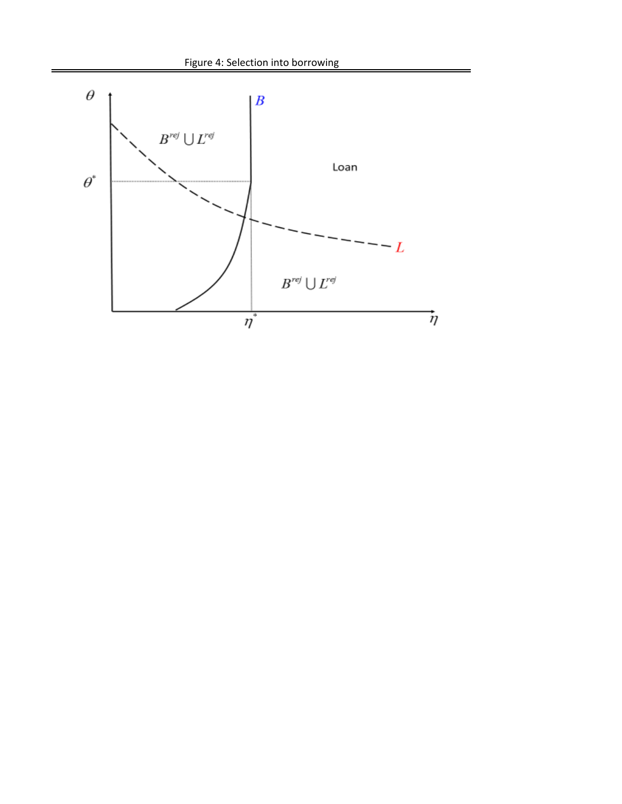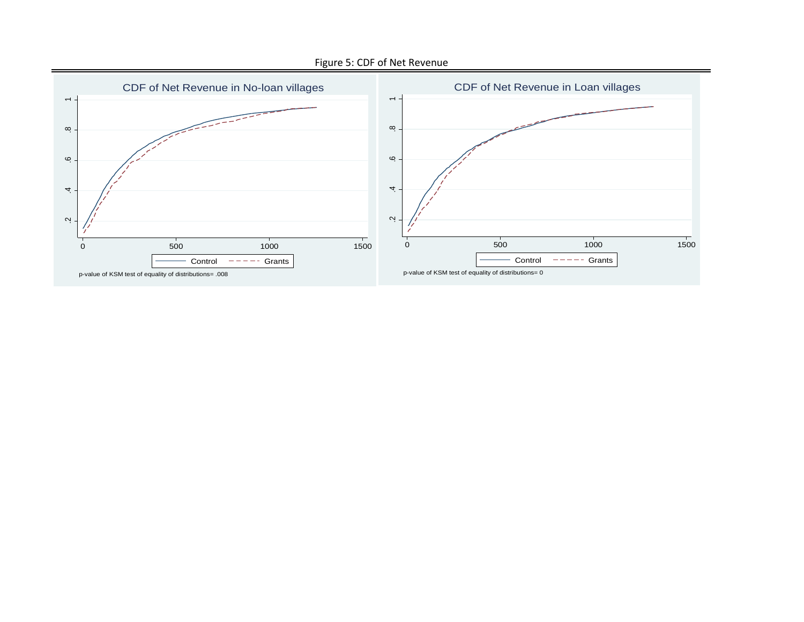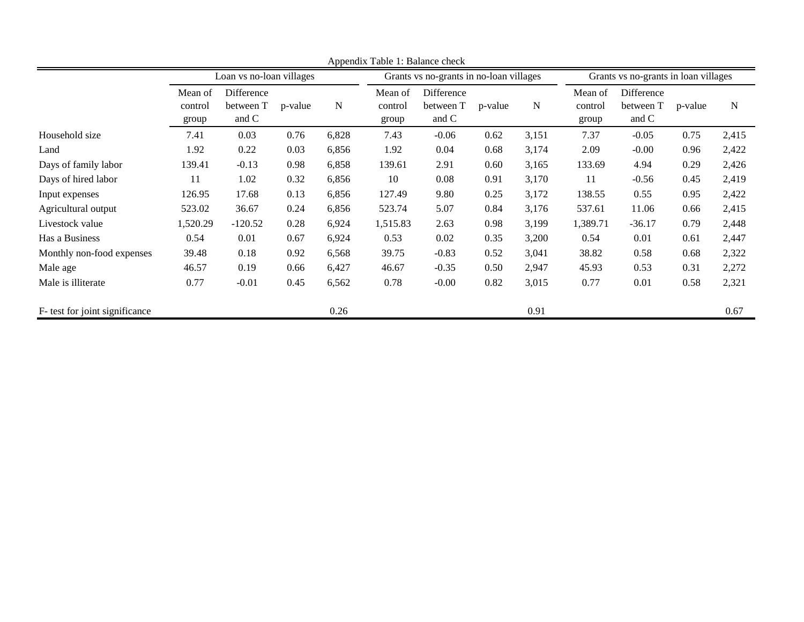|                                |                             |                                  |         |       | Appendix Table 1: Balance check |                                         |         |           |                                      |                                  |         |       |  |
|--------------------------------|-----------------------------|----------------------------------|---------|-------|---------------------------------|-----------------------------------------|---------|-----------|--------------------------------------|----------------------------------|---------|-------|--|
|                                |                             | Loan vs no-loan villages         |         |       |                                 | Grants vs no-grants in no-loan villages |         |           | Grants vs no-grants in loan villages |                                  |         |       |  |
|                                | Mean of<br>control<br>group | Difference<br>between T<br>and C | p-value | N     | Mean of<br>control<br>group     | Difference<br>between T<br>and C        | p-value | ${\bf N}$ | Mean of<br>control<br>group          | Difference<br>between T<br>and C | p-value | N     |  |
| Household size                 | 7.41                        | 0.03                             | 0.76    | 6,828 | 7.43                            | $-0.06$                                 | 0.62    | 3,151     | 7.37                                 | $-0.05$                          | 0.75    | 2,415 |  |
| Land                           | 1.92                        | 0.22                             | 0.03    | 6,856 | 1.92                            | 0.04                                    | 0.68    | 3,174     | 2.09                                 | $-0.00$                          | 0.96    | 2,422 |  |
| Days of family labor           | 139.41                      | $-0.13$                          | 0.98    | 6,858 | 139.61                          | 2.91                                    | 0.60    | 3,165     | 133.69                               | 4.94                             | 0.29    | 2,426 |  |
| Days of hired labor            | 11                          | 1.02                             | 0.32    | 6,856 | 10                              | 0.08                                    | 0.91    | 3,170     | 11                                   | $-0.56$                          | 0.45    | 2,419 |  |
| Input expenses                 | 126.95                      | 17.68                            | 0.13    | 6,856 | 127.49                          | 9.80                                    | 0.25    | 3,172     | 138.55                               | 0.55                             | 0.95    | 2,422 |  |
| Agricultural output            | 523.02                      | 36.67                            | 0.24    | 6,856 | 523.74                          | 5.07                                    | 0.84    | 3,176     | 537.61                               | 11.06                            | 0.66    | 2,415 |  |
| Livestock value                | 1,520.29                    | $-120.52$                        | 0.28    | 6,924 | 1,515.83                        | 2.63                                    | 0.98    | 3,199     | 1,389.71                             | $-36.17$                         | 0.79    | 2,448 |  |
| Has a Business                 | 0.54                        | 0.01                             | 0.67    | 6,924 | 0.53                            | 0.02                                    | 0.35    | 3,200     | 0.54                                 | 0.01                             | 0.61    | 2,447 |  |
| Monthly non-food expenses      | 39.48                       | 0.18                             | 0.92    | 6,568 | 39.75                           | $-0.83$                                 | 0.52    | 3,041     | 38.82                                | 0.58                             | 0.68    | 2,322 |  |
| Male age                       | 46.57                       | 0.19                             | 0.66    | 6,427 | 46.67                           | $-0.35$                                 | 0.50    | 2,947     | 45.93                                | 0.53                             | 0.31    | 2,272 |  |
| Male is illiterate             | 0.77                        | $-0.01$                          | 0.45    | 6,562 | 0.78                            | $-0.00$                                 | 0.82    | 3,015     | 0.77                                 | 0.01                             | 0.58    | 2,321 |  |
| F- test for joint significance |                             |                                  |         | 0.26  |                                 |                                         |         | 0.91      |                                      |                                  |         | 0.67  |  |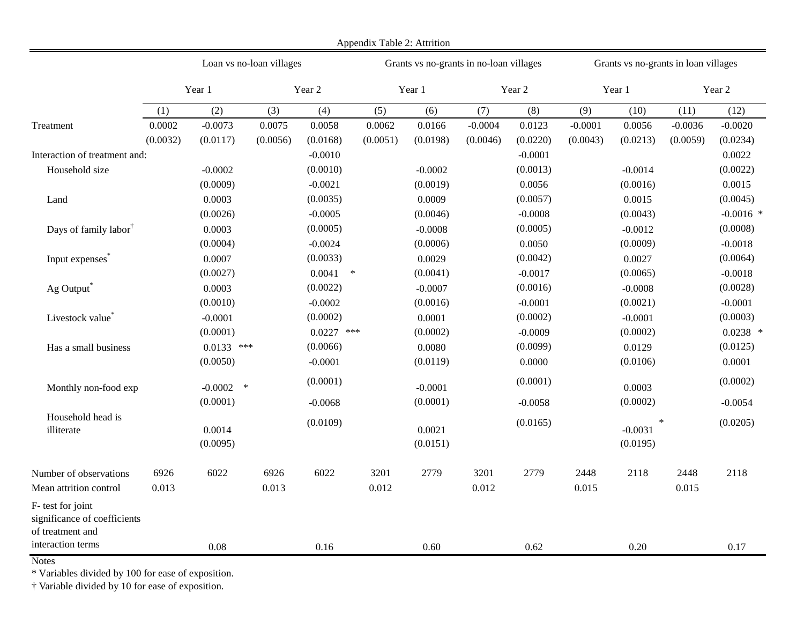|                                                                                            |                    |                                |                          |                              | Appendix Table 2: Attrition |                                         |                       |                       |                                      |                                             |                       |                         |
|--------------------------------------------------------------------------------------------|--------------------|--------------------------------|--------------------------|------------------------------|-----------------------------|-----------------------------------------|-----------------------|-----------------------|--------------------------------------|---------------------------------------------|-----------------------|-------------------------|
|                                                                                            |                    |                                | Loan vs no-loan villages |                              |                             | Grants vs no-grants in no-loan villages |                       |                       | Grants vs no-grants in loan villages |                                             |                       |                         |
|                                                                                            |                    | Year 1                         |                          | Year 2                       |                             | Year 1                                  |                       | Year 2                |                                      | Year 1                                      | Year 2                |                         |
|                                                                                            | (1)                | (2)                            | (3)                      | (4)                          | (5)                         | (6)                                     | (7)                   | (8)                   | (9)                                  | (10)                                        | (11)                  | (12)                    |
| Treatment                                                                                  | 0.0002<br>(0.0032) | $-0.0073$<br>(0.0117)          | 0.0075<br>(0.0056)       | 0.0058<br>(0.0168)           | 0.0062<br>(0.0051)          | 0.0166<br>(0.0198)                      | $-0.0004$<br>(0.0046) | 0.0123<br>(0.0220)    | $-0.0001$<br>(0.0043)                | 0.0056<br>(0.0213)                          | $-0.0036$<br>(0.0059) | $-0.0020$<br>(0.0234)   |
| Interaction of treatment and:                                                              |                    |                                |                          | $-0.0010$                    |                             |                                         |                       | $-0.0001$             |                                      |                                             |                       | 0.0022                  |
| Household size                                                                             |                    | $-0.0002$<br>(0.0009)          |                          | (0.0010)<br>$-0.0021$        |                             | $-0.0002$<br>(0.0019)                   |                       | (0.0013)<br>0.0056    |                                      | $-0.0014$<br>(0.0016)                       |                       | (0.0022)<br>0.0015      |
| Land                                                                                       |                    | 0.0003<br>(0.0026)             |                          | (0.0035)<br>$-0.0005$        |                             | 0.0009<br>(0.0046)                      |                       | (0.0057)<br>$-0.0008$ |                                      | 0.0015<br>(0.0043)                          |                       | (0.0045)<br>$-0.0016$ * |
| Days of family labor <sup>†</sup>                                                          |                    | 0.0003<br>(0.0004)             |                          | (0.0005)<br>$-0.0024$        |                             | $-0.0008$<br>(0.0006)                   |                       | (0.0005)<br>0.0050    |                                      | $-0.0012$<br>(0.0009)                       |                       | (0.0008)<br>$-0.0018$   |
| Input expenses <sup>®</sup>                                                                |                    | 0.0007<br>(0.0027)             |                          | (0.0033)<br>0.0041<br>$\ast$ |                             | 0.0029<br>(0.0041)                      |                       | (0.0042)<br>$-0.0017$ |                                      | 0.0027<br>(0.0065)                          |                       | (0.0064)<br>$-0.0018$   |
| Ag Output                                                                                  |                    | 0.0003<br>(0.0010)             |                          | (0.0022)<br>$-0.0002$        |                             | $-0.0007$<br>(0.0016)                   |                       | (0.0016)<br>$-0.0001$ |                                      | $-0.0008$<br>(0.0021)                       |                       | (0.0028)<br>$-0.0001$   |
| Livestock value <sup>*</sup>                                                               |                    | $-0.0001$<br>(0.0001)          |                          | (0.0002)<br>$0.0227$ ***     |                             | 0.0001<br>(0.0002)                      |                       | (0.0002)<br>$-0.0009$ |                                      | $-0.0001$<br>(0.0002)                       |                       | (0.0003)<br>$0.0238$ *  |
| Has a small business                                                                       |                    | $0.0133$ ***<br>(0.0050)       |                          | (0.0066)<br>$-0.0001$        |                             | 0.0080<br>(0.0119)                      |                       | (0.0099)<br>0.0000    |                                      | 0.0129<br>(0.0106)                          |                       | (0.0125)<br>0.0001      |
| Monthly non-food exp                                                                       |                    | $-0.0002$ *                    |                          | (0.0001)                     |                             | $-0.0001$                               |                       | (0.0001)              |                                      | 0.0003                                      |                       | (0.0002)                |
| Household head is<br>illiterate                                                            |                    | (0.0001)<br>0.0014<br>(0.0095) |                          | $-0.0068$<br>(0.0109)        |                             | (0.0001)<br>0.0021<br>(0.0151)          |                       | $-0.0058$<br>(0.0165) |                                      | (0.0002)<br>$\ast$<br>$-0.0031$<br>(0.0195) |                       | $-0.0054$<br>(0.0205)   |
| Number of observations<br>Mean attrition control                                           | 6926<br>0.013      | 6022                           | 6926<br>0.013            | 6022                         | 3201<br>0.012               | 2779                                    | 3201<br>0.012         | 2779                  | 2448<br>0.015                        | 2118                                        | 2448<br>0.015         | 2118                    |
| F- test for joint<br>significance of coefficients<br>of treatment and<br>interaction terms |                    |                                |                          |                              |                             |                                         |                       |                       |                                      |                                             |                       |                         |
|                                                                                            |                    | 0.08                           |                          | 0.16                         |                             | 0.60                                    |                       | 0.62                  |                                      | 0.20                                        |                       | 0.17                    |

\* Variables divided by 100 for ease of exposition.

† Variable divided by 10 for ease of exposition.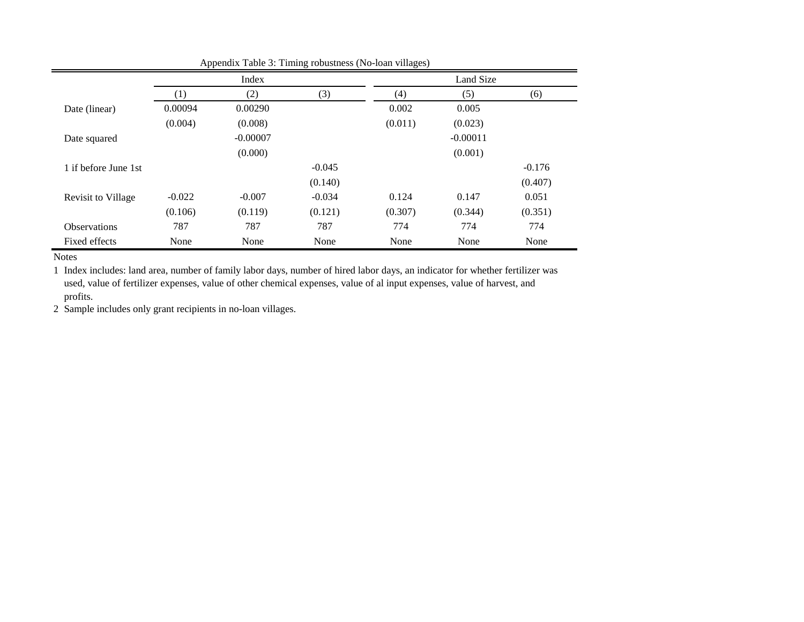|                      |                  | Index      |          | Land Size |            |          |
|----------------------|------------------|------------|----------|-----------|------------|----------|
|                      | $\left(1\right)$ | (2)        | (3)      | (4)       | (5)        | (6)      |
| Date (linear)        | 0.00094          | 0.00290    |          | 0.002     | 0.005      |          |
|                      | (0.004)          | (0.008)    |          | (0.011)   | (0.023)    |          |
| Date squared         |                  | $-0.00007$ |          |           | $-0.00011$ |          |
|                      |                  | (0.000)    |          |           | (0.001)    |          |
| 1 if before June 1st |                  |            | $-0.045$ |           |            | $-0.176$ |
|                      |                  |            | (0.140)  |           |            | (0.407)  |
| Revisit to Village   | $-0.022$         | $-0.007$   | $-0.034$ | 0.124     | 0.147      | 0.051    |
|                      | (0.106)          | (0.119)    | (0.121)  | (0.307)   | (0.344)    | (0.351)  |
| <b>Observations</b>  | 787              | 787        | 787      | 774       | 774        | 774      |
| Fixed effects        | None             | None       | None     | None      | None       | None     |

Appendix Table 3: Timing robustness (No-loan villages)

1 Index includes: land area, number of family labor days, number of hired labor days, an indicator for whether fertilizer was used, value of fertilizer expenses, value of other chemical expenses, value of al input expenses, value of harvest, and profits.

2 Sample includes only grant recipients in no-loan villages.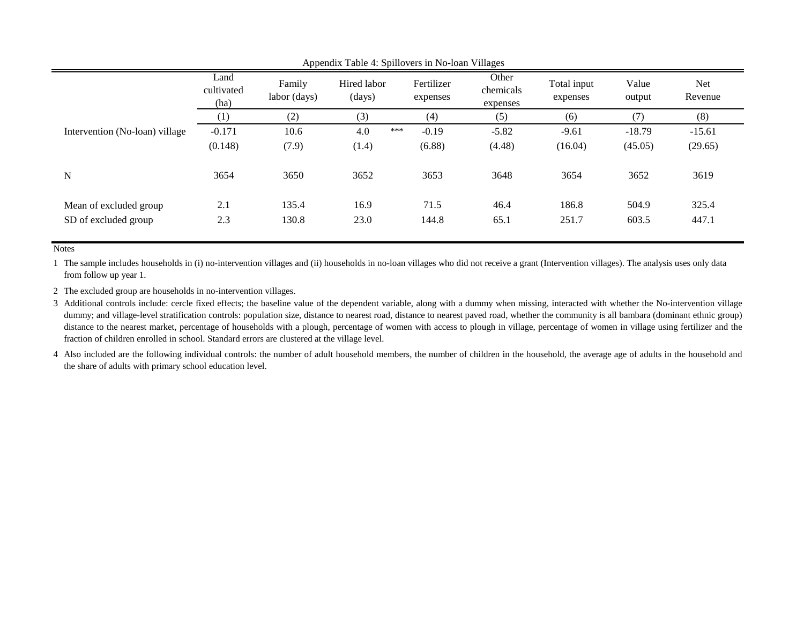|                                |                            |                        |                       | $\cdots$ - $\mathsf{r}$ ---- $\cdots$ | -----o--                       |                         |                 |                |
|--------------------------------|----------------------------|------------------------|-----------------------|---------------------------------------|--------------------------------|-------------------------|-----------------|----------------|
|                                | Land<br>cultivated<br>(ha) | Family<br>labor (days) | Hired labor<br>(days) | Fertilizer<br>expenses                | Other<br>chemicals<br>expenses | Total input<br>expenses | Value<br>output | Net<br>Revenue |
|                                | (1)                        | (2)                    | (3)                   | (4)                                   | (5)                            | (6)                     | (7)             | (8)            |
| Intervention (No-loan) village | $-0.171$                   | 10.6                   | 4.0                   | $-0.19$<br>***                        | $-5.82$                        | $-9.61$                 | $-18.79$        | $-15.61$       |
|                                | (0.148)                    | (7.9)                  | (1.4)                 | (6.88)                                | (4.48)                         | (16.04)                 | (45.05)         | (29.65)        |
| N                              | 3654                       | 3650                   | 3652                  | 3653                                  | 3648                           | 3654                    | 3652            | 3619           |
| Mean of excluded group         | 2.1                        | 135.4                  | 16.9                  | 71.5                                  | 46.4                           | 186.8                   | 504.9           | 325.4          |
| SD of excluded group           | 2.3                        | 130.8                  | 23.0                  | 144.8                                 | 65.1                           | 251.7                   | 603.5           | 447.1          |
|                                |                            |                        |                       |                                       |                                |                         |                 |                |

Appendix Table 4: Spillovers in No-loan Villages

1 The sample includes households in (i) no-intervention villages and (ii) households in no-loan villages who did not receive a grant (Intervention villages). The analysis uses only data from follow up year 1.

2 The excluded group are households in no-intervention villages.

3 Additional controls include: cercle fixed effects; the baseline value of the dependent variable, along with a dummy when missing, interacted with whether the No-intervention village dummy; and village-level stratification controls: population size, distance to nearest road, distance to nearest paved road, whether the community is all bambara (dominant ethnic group) distance to the nearest market, percentage of households with a plough, percentage of women with access to plough in village, percentage of women in village using fertilizer and the fraction of children enrolled in school. Standard errors are clustered at the village level.

4 Also included are the following individual controls: the number of adult household members, the number of children in the household, the average age of adults in the household and the share of adults with primary school education level.